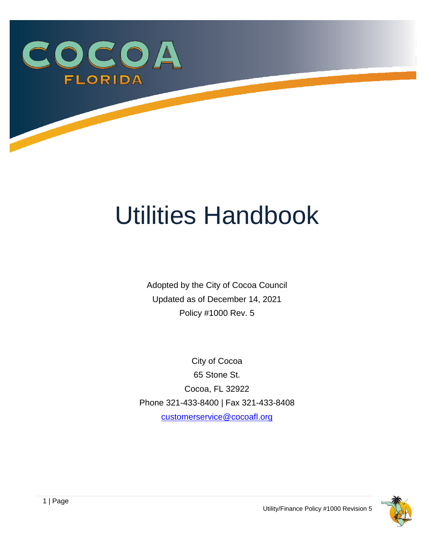<span id="page-0-0"></span>

# Utilities Handbook

Adopted by the City of Cocoa Council Updated as of December 14, 2021 Policy #1000 Rev. 5

City of Cocoa 65 Stone St. Cocoa, FL 32922 Phone 321-433-8400 | Fax 321-433-8408 [customerservice@cocoafl.org](mailto:customerservice@cocoafl.org)

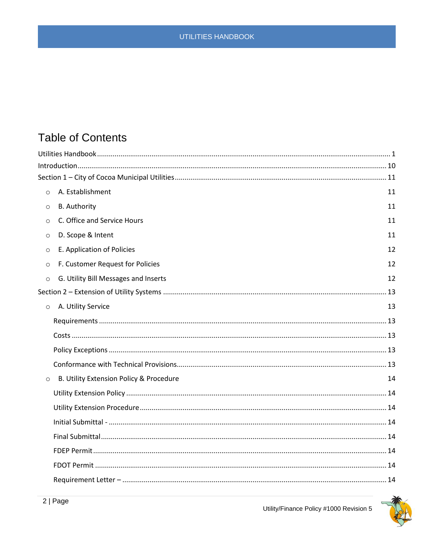# **Table of Contents**

| $\circ$ | A. Establishment                        | 11 |
|---------|-----------------------------------------|----|
| $\circ$ | <b>B.</b> Authority                     | 11 |
| $\circ$ | C. Office and Service Hours             | 11 |
| $\circ$ | D. Scope & Intent                       | 11 |
| $\circ$ | E. Application of Policies              | 12 |
| $\circ$ | F. Customer Request for Policies        | 12 |
| $\circ$ | G. Utility Bill Messages and Inserts    | 12 |
|         |                                         |    |
| $\circ$ | A. Utility Service                      | 13 |
|         |                                         |    |
|         |                                         |    |
|         |                                         |    |
|         |                                         |    |
| $\circ$ | B. Utility Extension Policy & Procedure | 14 |
|         |                                         |    |
|         |                                         |    |
|         |                                         |    |
|         |                                         |    |
|         |                                         |    |
|         |                                         |    |
|         |                                         |    |

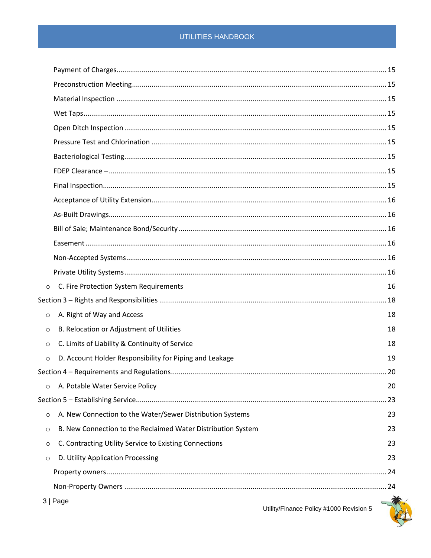| $\circ$ | C. Fire Protection System Requirements                       | 16 |
|---------|--------------------------------------------------------------|----|
|         |                                                              |    |
| $\circ$ | A. Right of Way and Access                                   | 18 |
| $\circ$ | B. Relocation or Adjustment of Utilities                     | 18 |
| $\circ$ | C. Limits of Liability & Continuity of Service               | 18 |
| $\circ$ | D. Account Holder Responsibility for Piping and Leakage      | 19 |
|         |                                                              |    |
| $\circ$ | A. Potable Water Service Policy                              | 20 |
|         |                                                              | 23 |
| $\circ$ | A. New Connection to the Water/Sewer Distribution Systems    | 23 |
| $\circ$ | B. New Connection to the Reclaimed Water Distribution System | 23 |
| $\circ$ | C. Contracting Utility Service to Existing Connections       | 23 |
| $\circ$ | D. Utility Application Processing                            | 23 |
|         |                                                              |    |
|         |                                                              |    |

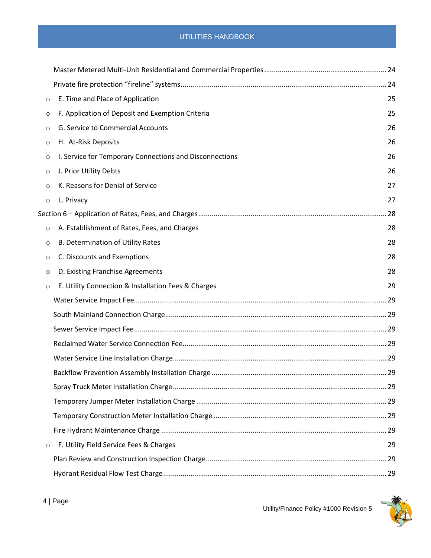| $\circ$ | E. Time and Place of Application                        | 25 |
|---------|---------------------------------------------------------|----|
| O       | F. Application of Deposit and Exemption Criteria        | 25 |
| $\circ$ | G. Service to Commercial Accounts                       | 26 |
| $\circ$ | H. At-Risk Deposits                                     | 26 |
| $\circ$ | I. Service for Temporary Connections and Disconnections | 26 |
| $\circ$ | J. Prior Utility Debts                                  | 26 |
| $\circ$ | K. Reasons for Denial of Service                        | 27 |
| $\circ$ | L. Privacy                                              | 27 |
|         |                                                         |    |
| $\circ$ | A. Establishment of Rates, Fees, and Charges            | 28 |
| $\circ$ | B. Determination of Utility Rates                       | 28 |
| $\circ$ | C. Discounts and Exemptions                             | 28 |
| $\circ$ | D. Existing Franchise Agreements                        | 28 |
| $\circ$ | E. Utility Connection & Installation Fees & Charges     | 29 |
|         |                                                         |    |
|         |                                                         |    |
|         |                                                         |    |
|         |                                                         |    |
|         |                                                         |    |
|         |                                                         |    |
|         |                                                         |    |
|         |                                                         |    |
|         |                                                         |    |
|         |                                                         |    |
| $\circ$ | F. Utility Field Service Fees & Charges                 | 29 |
|         |                                                         |    |
|         |                                                         |    |

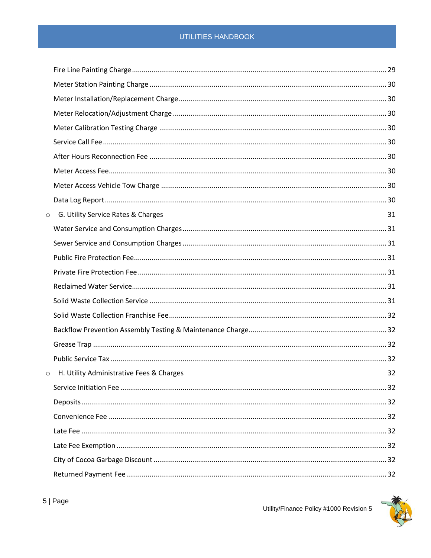| $\circ$ | G. Utility Service Rates & Charges       | 31 |
|---------|------------------------------------------|----|
|         |                                          |    |
|         |                                          |    |
|         |                                          |    |
|         |                                          |    |
|         |                                          |    |
|         |                                          |    |
|         |                                          |    |
|         |                                          |    |
|         |                                          |    |
|         |                                          |    |
| $\circ$ | H. Utility Administrative Fees & Charges | 32 |
|         |                                          |    |
|         |                                          |    |
|         |                                          |    |
|         |                                          |    |
|         |                                          |    |
|         |                                          |    |
|         |                                          |    |

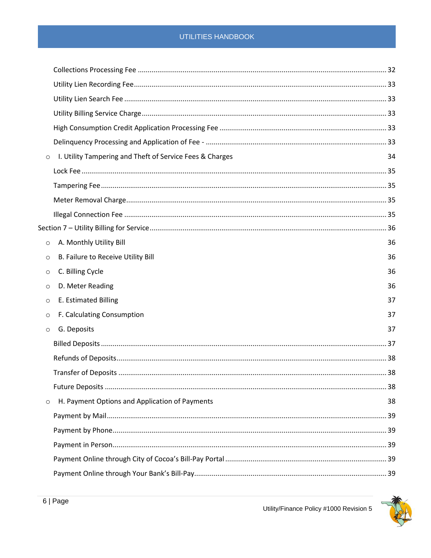| $\circ$ | I. Utility Tampering and Theft of Service Fees & Charges | 34 |
|---------|----------------------------------------------------------|----|
|         |                                                          |    |
|         |                                                          |    |
|         |                                                          |    |
|         |                                                          |    |
|         |                                                          |    |
| $\circ$ | A. Monthly Utility Bill                                  | 36 |
| $\circ$ | B. Failure to Receive Utility Bill                       | 36 |
| $\circ$ | C. Billing Cycle                                         | 36 |
| $\circ$ | D. Meter Reading                                         | 36 |
| $\circ$ | E. Estimated Billing                                     | 37 |
| $\circ$ | F. Calculating Consumption                               | 37 |
| $\circ$ | G. Deposits                                              | 37 |
|         |                                                          |    |
|         |                                                          |    |
|         |                                                          |    |
|         |                                                          |    |
| $\circ$ | H. Payment Options and Application of Payments           | 38 |
|         |                                                          |    |
|         |                                                          |    |
|         |                                                          |    |
|         |                                                          |    |
|         |                                                          |    |

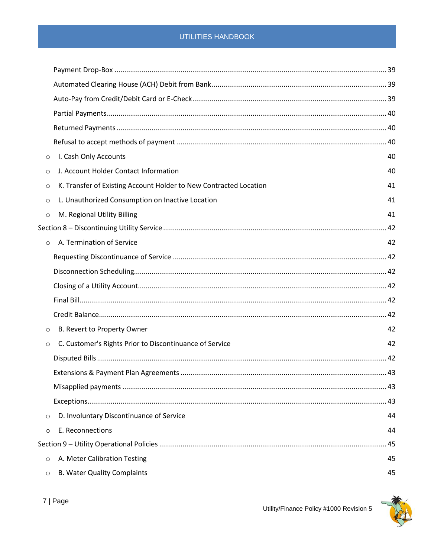| $\circ$ | I. Cash Only Accounts                                             | 40 |
|---------|-------------------------------------------------------------------|----|
| $\circ$ | J. Account Holder Contact Information                             | 40 |
| $\circ$ | K. Transfer of Existing Account Holder to New Contracted Location | 41 |
| $\circ$ | L. Unauthorized Consumption on Inactive Location                  | 41 |
| $\circ$ | M. Regional Utility Billing                                       | 41 |
|         |                                                                   |    |
| $\circ$ | A. Termination of Service                                         | 42 |
|         |                                                                   |    |
|         |                                                                   |    |
|         |                                                                   |    |
|         |                                                                   |    |
|         |                                                                   |    |
| $\circ$ | B. Revert to Property Owner                                       | 42 |
| $\circ$ | C. Customer's Rights Prior to Discontinuance of Service           | 42 |
|         |                                                                   |    |
|         |                                                                   |    |
|         |                                                                   |    |
|         |                                                                   |    |
| $\circ$ | D. Involuntary Discontinuance of Service                          | 44 |
| $\circ$ | E. Reconnections                                                  | 44 |
|         |                                                                   | 45 |
| $\circ$ | A. Meter Calibration Testing                                      | 45 |
| $\circ$ | <b>B. Water Quality Complaints</b>                                | 45 |

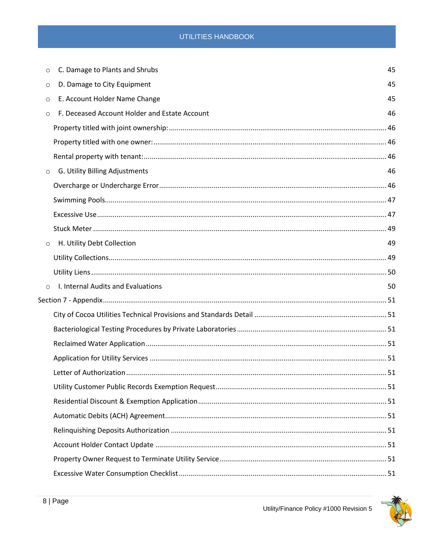| $\circ$ | C. Damage to Plants and Shrubs                | 45 |
|---------|-----------------------------------------------|----|
| $\circ$ | D. Damage to City Equipment                   | 45 |
| $\circ$ | E. Account Holder Name Change                 | 45 |
| $\circ$ | F. Deceased Account Holder and Estate Account | 46 |
|         |                                               |    |
|         |                                               |    |
|         |                                               |    |
| $\circ$ | G. Utility Billing Adjustments                | 46 |
|         |                                               |    |
|         |                                               |    |
|         |                                               |    |
|         |                                               |    |
| $\circ$ | H. Utility Debt Collection                    | 49 |
|         |                                               |    |
|         |                                               |    |
| $\circ$ | I. Internal Audits and Evaluations            | 50 |
|         |                                               |    |
|         |                                               |    |
|         |                                               |    |
|         |                                               |    |
|         |                                               |    |
|         |                                               |    |
|         |                                               |    |
|         |                                               |    |
|         |                                               |    |
|         |                                               |    |
|         |                                               |    |
|         |                                               |    |
|         |                                               |    |

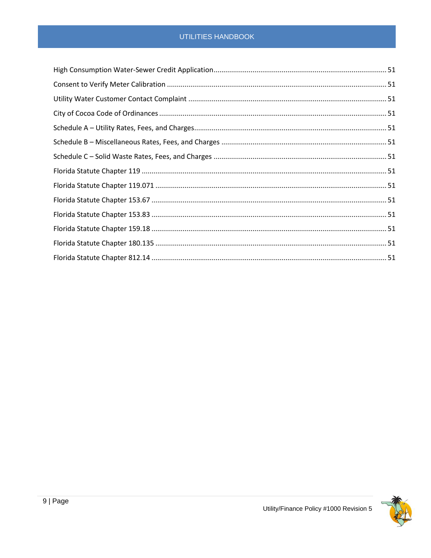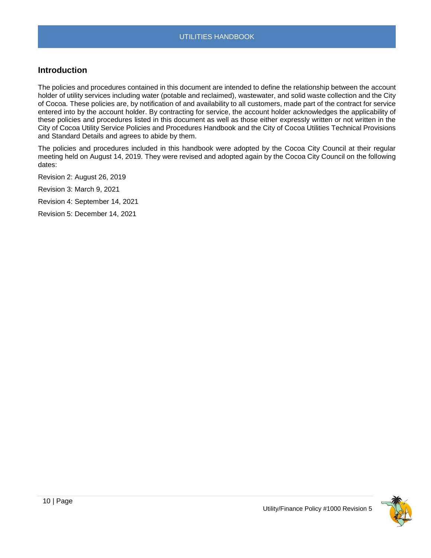## <span id="page-9-0"></span>**Introduction**

The policies and procedures contained in this document are intended to define the relationship between the account holder of utility services including water (potable and reclaimed), wastewater, and solid waste collection and the City of Cocoa. These policies are, by notification of and availability to all customers, made part of the contract for service entered into by the account holder. By contracting for service, the account holder acknowledges the applicability of these policies and procedures listed in this document as well as those either expressly written or not written in the City of Cocoa Utility Service Policies and Procedures Handbook and the City of Cocoa Utilities Technical Provisions and Standard Details and agrees to abide by them.

The policies and procedures included in this handbook were adopted by the Cocoa City Council at their regular meeting held on August 14, 2019. They were revised and adopted again by the Cocoa City Council on the following dates:

Revision 2: August 26, 2019

Revision 3: March 9, 2021

Revision 4: September 14, 2021

Revision 5: December 14, 2021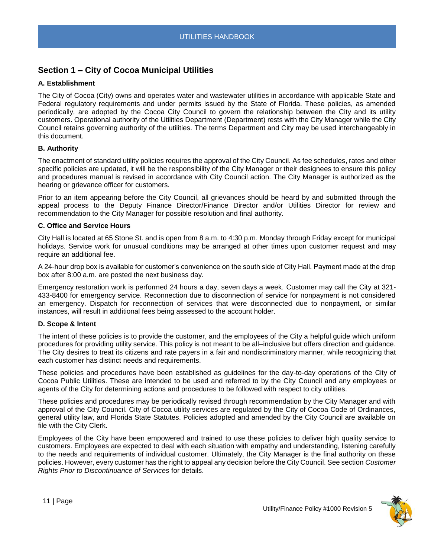## <span id="page-10-0"></span>**Section 1 – City of Cocoa Municipal Utilities**

## <span id="page-10-1"></span>**A. Establishment**

The City of Cocoa (City) owns and operates water and wastewater utilities in accordance with applicable State and Federal regulatory requirements and under permits issued by the State of Florida. These policies, as amended periodically, are adopted by the Cocoa City Council to govern the relationship between the City and its utility customers. Operational authority of the Utilities Department (Department) rests with the City Manager while the City Council retains governing authority of the utilities. The terms Department and City may be used interchangeably in this document.

## <span id="page-10-2"></span>**B. Authority**

The enactment of standard utility policies requires the approval of the City Council. As fee schedules, rates and other specific policies are updated, it will be the responsibility of the City Manager or their designees to ensure this policy and procedures manual is revised in accordance with City Council action. The City Manager is authorized as the hearing or grievance officer for customers.

Prior to an item appearing before the City Council, all grievances should be heard by and submitted through the appeal process to the Deputy Finance Director/Finance Director and/or Utilities Director for review and recommendation to the City Manager for possible resolution and final authority.

## <span id="page-10-3"></span>**C. Office and Service Hours**

City Hall is located at 65 Stone St. and is open from 8 a.m. to 4:30 p.m. Monday through Friday except for municipal holidays. Service work for unusual conditions may be arranged at other times upon customer request and may require an additional fee.

A 24-hour drop box is available for customer's convenience on the south side of City Hall. Payment made at the drop box after 8:00 a.m. are posted the next business day.

Emergency restoration work is performed 24 hours a day, seven days a week. Customer may call the City at 321- 433-8400 for emergency service. Reconnection due to disconnection of service for nonpayment is not considered an emergency. Dispatch for reconnection of services that were disconnected due to nonpayment, or similar instances, will result in additional fees being assessed to the account holder.

## <span id="page-10-4"></span>**D. Scope & Intent**

The intent of these policies is to provide the customer, and the employees of the City a helpful guide which uniform procedures for providing utility service. This policy is not meant to be all–inclusive but offers direction and guidance. The City desires to treat its citizens and rate payers in a fair and nondiscriminatory manner, while recognizing that each customer has distinct needs and requirements.

These policies and procedures have been established as guidelines for the day-to-day operations of the City of Cocoa Public Utilities. These are intended to be used and referred to by the City Council and any employees or agents of the City for determining actions and procedures to be followed with respect to city utilities.

These policies and procedures may be periodically revised through recommendation by the City Manager and with approval of the City Council. City of Cocoa utility services are regulated by the City of Cocoa Code of Ordinances, general utility law, and Florida State Statutes. Policies adopted and amended by the City Council are available on file with the City Clerk.

Employees of the City have been empowered and trained to use these policies to deliver high quality service to customers. Employees are expected to deal with each situation with empathy and understanding, listening carefully to the needs and requirements of individual customer. Ultimately, the City Manager is the final authority on these policies. However, every customer has the right to appeal any decision before the City Council. See section *Customer Rights Prior to Discontinuance of Services* for details.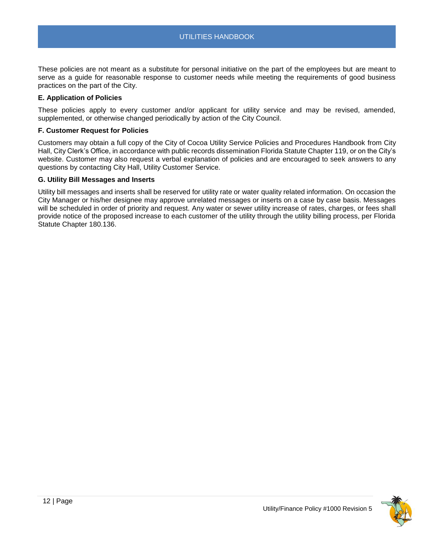These policies are not meant as a substitute for personal initiative on the part of the employees but are meant to serve as a guide for reasonable response to customer needs while meeting the requirements of good business practices on the part of the City.

#### <span id="page-11-0"></span>**E. Application of Policies**

These policies apply to every customer and/or applicant for utility service and may be revised, amended, supplemented, or otherwise changed periodically by action of the City Council.

#### <span id="page-11-1"></span>**F. Customer Request for Policies**

Customers may obtain a full copy of the City of Cocoa Utility Service Policies and Procedures Handbook from City Hall, City Clerk's Office, in accordance with public records dissemination Florida Statute Chapter 119, or on the City's website. Customer may also request a verbal explanation of policies and are encouraged to seek answers to any questions by contacting City Hall, Utility Customer Service.

#### <span id="page-11-2"></span>**G. Utility Bill Messages and Inserts**

Utility bill messages and inserts shall be reserved for utility rate or water quality related information. On occasion the City Manager or his/her designee may approve unrelated messages or inserts on a case by case basis. Messages will be scheduled in order of priority and request. Any water or sewer utility increase of rates, charges, or fees shall provide notice of the proposed increase to each customer of the utility through the utility billing process, per Florida Statute Chapter 180.136.

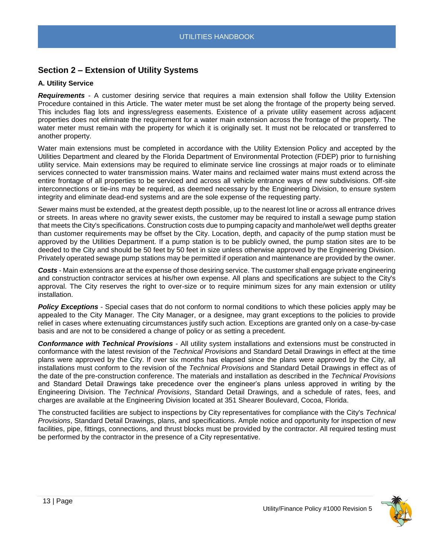## <span id="page-12-0"></span>**Section 2 – Extension of Utility Systems**

## <span id="page-12-1"></span>**A. Utility Service**

<span id="page-12-2"></span>*Requirements* - A customer desiring service that requires a main extension shall follow the Utility Extension Procedure contained in this Article. The water meter must be set along the frontage of the property being served. This includes flag lots and ingress/egress easements. Existence of a private utility easement across adjacent properties does not eliminate the requirement for a water main extension across the frontage of the property. The water meter must remain with the property for which it is originally set. It must not be relocated or transferred to another property.

Water main extensions must be completed in accordance with the Utility Extension Policy and accepted by the Utilities Department and cleared by the Florida Department of Environmental Protection (FDEP) prior to furnishing utility service. Main extensions may be required to eliminate service line crossings at major roads or to eliminate services connected to water transmission mains. Water mains and reclaimed water mains must extend across the entire frontage of all properties to be serviced and across all vehicle entrance ways of new subdivisions. Off-site interconnections or tie-ins may be required, as deemed necessary by the Engineering Division, to ensure system integrity and eliminate dead-end systems and are the sole expense of the requesting party.

Sewer mains must be extended, at the greatest depth possible, up to the nearest lot line or across all entrance drives or streets. In areas where no gravity sewer exists, the customer may be required to install a sewage pump station that meets the City's specifications. Construction costs due to pumping capacity and manhole/wet well depths greater than customer requirements may be offset by the City. Location, depth, and capacity of the pump station must be approved by the Utilities Department. If a pump station is to be publicly owned, the pump station sites are to be deeded to the City and should be 50 feet by 50 feet in size unless otherwise approved by the Engineering Division. Privately operated sewage pump stations may be permitted if operation and maintenance are provided by the owner.

<span id="page-12-3"></span>*Costs* - Main extensions are at the expense of those desiring service. The customer shall engage private engineering and construction contractor services at his/her own expense. All plans and specifications are subject to the City's approval. The City reserves the right to over-size or to require minimum sizes for any main extension or utility installation.

<span id="page-12-4"></span>*Policy Exceptions* - Special cases that do not conform to normal conditions to which these policies apply may be appealed to the City Manager. The City Manager, or a designee, may grant exceptions to the policies to provide relief in cases where extenuating circumstances justify such action. Exceptions are granted only on a case-by-case basis and are not to be considered a change of policy or as setting a precedent.

<span id="page-12-5"></span>*Conformance with Technical Provisions* - All utility system installations and extensions must be constructed in conformance with the latest revision of the *Technical Provisions* and Standard Detail Drawings in effect at the time plans were approved by the City. If over six months has elapsed since the plans were approved by the City, all installations must conform to the revision of the *Technical Provisions* and Standard Detail Drawings in effect as of the date of the pre-construction conference. The materials and installation as described in the *Technical Provisions*  and Standard Detail Drawings take precedence over the engineer's plans unless approved in writing by the Engineering Division. The *Technical Provisions*, Standard Detail Drawings, and a schedule of rates, fees, and charges are available at the Engineering Division located at 351 Shearer Boulevard, Cocoa, Florida.

The constructed facilities are subject to inspections by City representatives for compliance with the City's *Technical Provisions*, Standard Detail Drawings, plans, and specifications. Ample notice and opportunity for inspection of new facilities, pipe, fittings, connections, and thrust blocks must be provided by the contractor. All required testing must be performed by the contractor in the presence of a City representative.

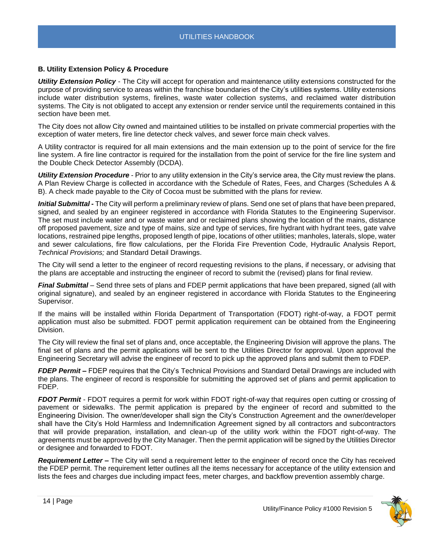## <span id="page-13-0"></span>**B. Utility Extension Policy & Procedure**

<span id="page-13-1"></span>*Utility Extension Policy* - The City will accept for operation and maintenance utility extensions constructed for the purpose of providing service to areas within the franchise boundaries of the City's utilities systems. Utility extensions include water distribution systems, firelines, waste water collection systems, and reclaimed water distribution systems. The City is not obligated to accept any extension or render service until the requirements contained in this section have been met.

The City does not allow City owned and maintained utilities to be installed on private commercial properties with the exception of water meters, fire line detector check valves, and sewer force main check valves.

A Utility contractor is required for all main extensions and the main extension up to the point of service for the fire line system. A fire line contractor is required for the installation from the point of service for the fire line system and the Double Check Detector Assembly (DCDA).

<span id="page-13-2"></span>*Utility Extension Procedure* - Prior to any utility extension in the City's service area, the City must review the plans. A Plan Review Charge is collected in accordance with the Schedule of Rates, Fees, and Charges (Schedules A & B). A check made payable to the City of Cocoa must be submitted with the plans for review.

<span id="page-13-3"></span>*Initial Submittal -* The City will perform a preliminary review of plans. Send one set of plans that have been prepared, signed, and sealed by an engineer registered in accordance with Florida Statutes to the Engineering Supervisor. The set must include water and or waste water and or reclaimed plans showing the location of the mains, distance off proposed pavement, size and type of mains, size and type of services, fire hydrant with hydrant tees, gate valve locations, restrained pipe lengths, proposed length of pipe, locations of other utilities; manholes, laterals, slope, water and sewer calculations, fire flow calculations, per the Florida Fire Prevention Code, Hydraulic Analysis Report, *Technical Provisions;* and Standard Detail Drawings.

The City will send a letter to the engineer of record requesting revisions to the plans, if necessary, or advising that the plans are acceptable and instructing the engineer of record to submit the (revised) plans for final review.

<span id="page-13-4"></span>*Final Submittal* – Send three sets of plans and FDEP permit applications that have been prepared, signed (all with original signature), and sealed by an engineer registered in accordance with Florida Statutes to the Engineering Supervisor.

If the mains will be installed within Florida Department of Transportation (FDOT) right-of-way, a FDOT permit application must also be submitted. FDOT permit application requirement can be obtained from the Engineering Division.

The City will review the final set of plans and, once acceptable, the Engineering Division will approve the plans. The final set of plans and the permit applications will be sent to the Utilities Director for approval. Upon approval the Engineering Secretary will advise the engineer of record to pick up the approved plans and submit them to FDEP.

<span id="page-13-5"></span>*FDEP Permit –* FDEP requires that the City's Technical Provisions and Standard Detail Drawings are included with the plans. The engineer of record is responsible for submitting the approved set of plans and permit application to FDEP.

<span id="page-13-6"></span>*FDOT Permit* - FDOT requires a permit for work within FDOT right-of-way that requires open cutting or crossing of pavement or sidewalks. The permit application is prepared by the engineer of record and submitted to the Engineering Division. The owner/developer shall sign the City's Construction Agreement and the owner/developer shall have the City's Hold Harmless and Indemnification Agreement signed by all contractors and subcontractors that will provide preparation, installation, and clean-up of the utility work within the FDOT right-of-way. The agreements must be approved by the City Manager. Then the permit application will be signed by the Utilities Director or designee and forwarded to FDOT.

<span id="page-13-7"></span>*Requirement Letter –* The City will send a requirement letter to the engineer of record once the City has received the FDEP permit. The requirement letter outlines all the items necessary for acceptance of the utility extension and lists the fees and charges due including impact fees, meter charges, and backflow prevention assembly charge.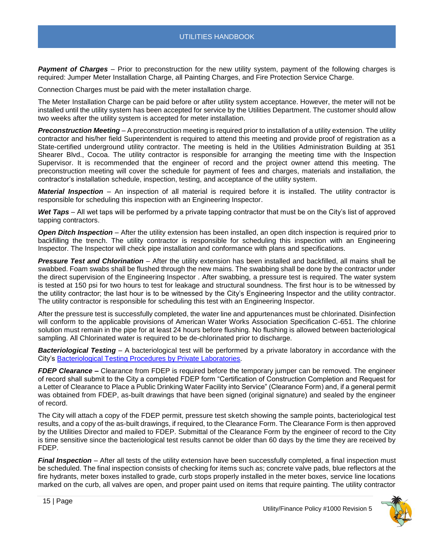<span id="page-14-0"></span>*Payment of Charges* – Prior to preconstruction for the new utility system, payment of the following charges is required: Jumper Meter Installation Charge, all Painting Charges, and Fire Protection Service Charge.

Connection Charges must be paid with the meter installation charge.

The Meter Installation Charge can be paid before or after utility system acceptance. However, the meter will not be installed until the utility system has been accepted for service by the Utilities Department. The customer should allow two weeks after the utility system is accepted for meter installation.

<span id="page-14-1"></span>*Preconstruction Meeting* – A preconstruction meeting is required prior to installation of a utility extension. The utility contractor and his/her field Superintendent is required to attend this meeting and provide proof of registration as a State-certified underground utility contractor. The meeting is held in the Utilities Administration Building at 351 Shearer Blvd., Cocoa. The utility contractor is responsible for arranging the meeting time with the Inspection Supervisor. It is recommended that the engineer of record and the project owner attend this meeting. The preconstruction meeting will cover the schedule for payment of fees and charges, materials and installation, the contractor's installation schedule, inspection, testing, and acceptance of the utility system.

<span id="page-14-2"></span>*Material Inspection* – An inspection of all material is required before it is installed. The utility contractor is responsible for scheduling this inspection with an Engineering Inspector.

<span id="page-14-3"></span>*Wet Taps* – All wet taps will be performed by a private tapping contractor that must be on the City's list of approved tapping contractors.

<span id="page-14-4"></span>*Open Ditch Inspection* – After the utility extension has been installed, an open ditch inspection is required prior to backfilling the trench. The utility contractor is responsible for scheduling this inspection with an Engineering Inspector. The Inspector will check pipe installation and conformance with plans and specifications.

<span id="page-14-5"></span>*Pressure Test and Chlorination* – After the utility extension has been installed and backfilled, all mains shall be swabbed. Foam swabs shall be flushed through the new mains. The swabbing shall be done by the contractor under the direct supervision of the Engineering Inspector . After swabbing, a pressure test is required. The water system is tested at 150 psi for two hours to test for leakage and structural soundness. The first hour is to be witnessed by the utility contractor; the last hour is to be witnessed by the City's Engineering Inspector and the utility contractor. The utility contractor is responsible for scheduling this test with an Engineering Inspector.

After the pressure test is successfully completed, the water line and appurtenances must be chlorinated. Disinfection will conform to the applicable provisions of American Water Works Association Specification C-651. The chlorine solution must remain in the pipe for at least 24 hours before flushing. No flushing is allowed between bacteriological sampling. All Chlorinated water is required to be de-chlorinated prior to discharge.

<span id="page-14-6"></span>*Bacteriological Testing* – A bacteriological test will be performed by a private laboratory in accordance with the City's [Bacteriological Testing Procedures by Private Laboratories.](file://///chv-file03/dept$/City%20Manager/PR/ADA%20Accessibility%20Docs/TO%20DO%20-%20Make%20Accessible/a)

<span id="page-14-7"></span>*FDEP Clearance –* Clearance from FDEP is required before the temporary jumper can be removed. The engineer of record shall submit to the City a completed FDEP form "Certification of Construction Completion and Request for a Letter of Clearance to Place a Public Drinking Water Facility into Service" (Clearance Form) and, if a general permit was obtained from FDEP, as-built drawings that have been signed (original signature) and sealed by the engineer of record.

The City will attach a copy of the FDEP permit, pressure test sketch showing the sample points, bacteriological test results, and a copy of the as-built drawings, if required, to the Clearance Form. The Clearance Form is then approved by the Utilities Director and mailed to FDEP. Submittal of the Clearance Form by the engineer of record to the City is time sensitive since the bacteriological test results cannot be older than 60 days by the time they are received by FDEP.

<span id="page-14-8"></span>*Final Inspection* – After all tests of the utility extension have been successfully completed, a final inspection must be scheduled. The final inspection consists of checking for items such as; concrete valve pads, blue reflectors at the fire hydrants, meter boxes installed to grade, curb stops properly installed in the meter boxes, service line locations marked on the curb, all valves are open, and proper paint used on items that require painting. The utility contractor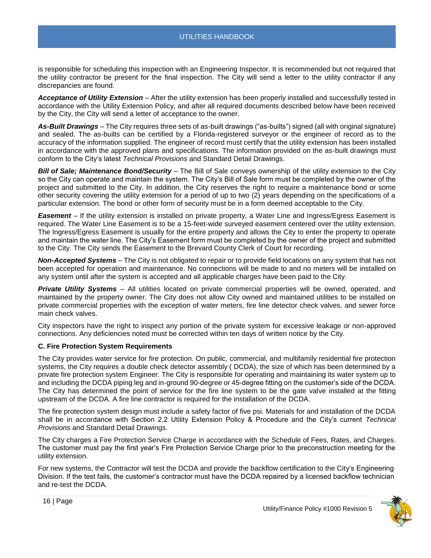is responsible for scheduling this inspection with an Engineering Inspector. It is recommended but not required that the utility contractor be present for the final inspection. The City will send a letter to the utility contractor if any discrepancies are found.

<span id="page-15-0"></span>*Acceptance of Utility Extension* – After the utility extension has been properly installed and successfully tested in accordance with the Utility Extension Policy, and after all required documents described below have been received by the City, the City will send a letter of acceptance to the owner.

<span id="page-15-1"></span>*As-Built Drawings* – The City requires three sets of as-built drawings ("as-builts") signed (all with original signature) and sealed. The as-builts can be certified by a Florida-registered surveyor or the engineer of record as to the accuracy of the information supplied. The engineer of record must certify that the utility extension has been installed in accordance with the approved plans and specifications. The information provided on the as-built drawings must conform to the City's latest *Technical Provisions* and Standard Detail Drawings.

<span id="page-15-2"></span>*Bill of Sale; Maintenance Bond/Security* – The Bill of Sale conveys ownership of the utility extension to the City so the City can operate and maintain the system. The City's Bill of Sale form must be completed by the owner of the project and submitted to the City. In addition, the City reserves the right to require a maintenance bond or some other security covering the utility extension for a period of up to two (2) years depending on the specifications of a particular extension. The bond or other form of security must be in a form deemed acceptable to the City.

<span id="page-15-3"></span>*Easement* – If the utility extension is installed on private property, a Water Line and Ingress/Egress Easement is required. The Water Line Easement is to be a 15-feet-wide surveyed easement centered over the utility extension. The Ingress/Egress Easement is usually for the entire property and allows the City to enter the property to operate and maintain the water line. The City's Easement form must be completed by the owner of the project and submitted to the City. The City sends the Easement to the Brevard County Clerk of Court for recording.

<span id="page-15-4"></span>*Non-Accepted Systems* – The City is not obligated to repair or to provide field locations on any system that has not been accepted for operation and maintenance. No connections will be made to and no meters will be installed on any system until after the system is accepted and all applicable charges have been paid to the City.

<span id="page-15-5"></span>*Private Utility Systems* – All utilities located on private commercial properties will be owned, operated, and maintained by the property owner. The City does not allow City owned and maintained utilities to be installed on private commercial properties with the exception of water meters, fire line detector check valves, and sewer force main check valves.

City inspectors have the right to inspect any portion of the private system for excessive leakage or non-approved connections. Any deficiencies noted must be corrected within ten days of written notice by the City.

## <span id="page-15-6"></span>**C. Fire Protection System Requirements**

The City provides water service for fire protection. On public, commercial, and multifamily residential fire protection systems, the City requires a double check detector assembly ( DCDA), the size of which has been determined by a private fire protection system Engineer. The City is responsible for operating and maintaining its water system up to and including the DCDA piping leg and in-ground 90-degree or 45-degree fitting on the customer's side of the DCDA. The City has determined the point of service for the fire line system to be the gate valve installed at the fitting upstream of the DCDA. A fire line contractor is required for the installation of the DCDA.

The fire protection system design must include a safety factor of five psi. Materials for and installation of the DCDA shall be in accordance with Section 2.2 Utility Extension Policy & Procedure and the City's current *Technical Provisions* and Standard Detail Drawings.

The City charges a Fire Protection Service Charge in accordance with the Schedule of Fees, Rates, and Charges. The customer must pay the first year's Fire Protection Service Charge prior to the preconstruction meeting for the utility extension.

For new systems, the Contractor will test the DCDA and provide the backflow certification to the City's Engineering Division. If the test fails, the customer's contractor must have the DCDA repaired by a licensed backflow technician and re-test the DCDA.

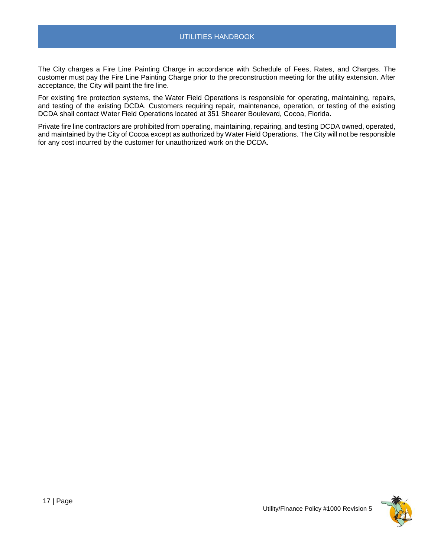The City charges a Fire Line Painting Charge in accordance with Schedule of Fees, Rates, and Charges. The customer must pay the Fire Line Painting Charge prior to the preconstruction meeting for the utility extension. After acceptance, the City will paint the fire line.

For existing fire protection systems, the Water Field Operations is responsible for operating, maintaining, repairs, and testing of the existing DCDA. Customers requiring repair, maintenance, operation, or testing of the existing DCDA shall contact Water Field Operations located at 351 Shearer Boulevard, Cocoa, Florida.

Private fire line contractors are prohibited from operating, maintaining, repairing, and testing DCDA owned, operated, and maintained by the City of Cocoa except as authorized by Water Field Operations. The City will not be responsible for any cost incurred by the customer for unauthorized work on the DCDA.

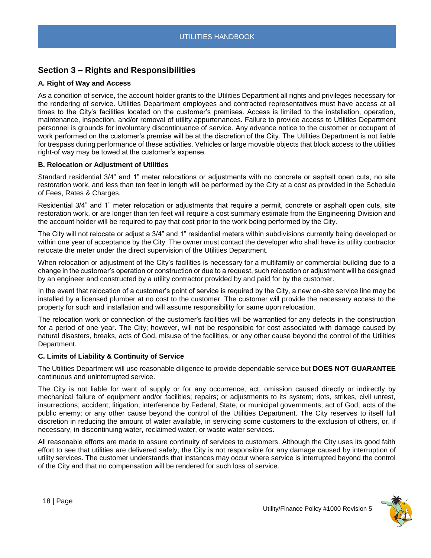## <span id="page-17-0"></span>**Section 3 – Rights and Responsibilities**

## <span id="page-17-1"></span>**A. Right of Way and Access**

As a condition of service, the account holder grants to the Utilities Department all rights and privileges necessary for the rendering of service. Utilities Department employees and contracted representatives must have access at all times to the City's facilities located on the customer's premises. Access is limited to the installation, operation, maintenance, inspection, and/or removal of utility appurtenances. Failure to provide access to Utilities Department personnel is grounds for involuntary discontinuance of service. Any advance notice to the customer or occupant of work performed on the customer's premise will be at the discretion of the City. The Utilities Department is not liable for trespass during performance of these activities. Vehicles or large movable objects that block access to the utilities right-of way may be towed at the customer's expense.

## <span id="page-17-2"></span>**B. Relocation or Adjustment of Utilities**

Standard residential 3/4" and 1" meter relocations or adjustments with no concrete or asphalt open cuts, no site restoration work, and less than ten feet in length will be performed by the City at a cost as provided in the Schedule of Fees, Rates & Charges.

Residential 3/4" and 1" meter relocation or adjustments that require a permit, concrete or asphalt open cuts, site restoration work, or are longer than ten feet will require a cost summary estimate from the Engineering Division and the account holder will be required to pay that cost prior to the work being performed by the City.

The City will not relocate or adjust a 3/4" and 1" residential meters within subdivisions currently being developed or within one year of acceptance by the City. The owner must contact the developer who shall have its utility contractor relocate the meter under the direct supervision of the Utilities Department.

When relocation or adjustment of the City's facilities is necessary for a multifamily or commercial building due to a change in the customer's operation or construction or due to a request, such relocation or adjustment will be designed by an engineer and constructed by a utility contractor provided by and paid for by the customer.

In the event that relocation of a customer's point of service is required by the City, a new on-site service line may be installed by a licensed plumber at no cost to the customer. The customer will provide the necessary access to the property for such and installation and will assume responsibility for same upon relocation.

The relocation work or connection of the customer's facilities will be warrantied for any defects in the construction for a period of one year. The City; however, will not be responsible for cost associated with damage caused by natural disasters, breaks, acts of God, misuse of the facilities, or any other cause beyond the control of the Utilities Department.

## <span id="page-17-3"></span>**C. Limits of Liability & Continuity of Service**

The Utilities Department will use reasonable diligence to provide dependable service but **DOES NOT GUARANTEE** continuous and uninterrupted service.

The City is not liable for want of supply or for any occurrence, act, omission caused directly or indirectly by mechanical failure of equipment and/or facilities; repairs; or adjustments to its system; riots, strikes, civil unrest, insurrections; accident; litigation; interference by Federal, State, or municipal governments; act of God; acts of the public enemy; or any other cause beyond the control of the Utilities Department. The City reserves to itself full discretion in reducing the amount of water available, in servicing some customers to the exclusion of others, or, if necessary, in discontinuing water, reclaimed water, or waste water services.

All reasonable efforts are made to assure continuity of services to customers. Although the City uses its good faith effort to see that utilities are delivered safely, the City is not responsible for any damage caused by interruption of utility services. The customer understands that instances may occur where service is interrupted beyond the control of the City and that no compensation will be rendered for such loss of service.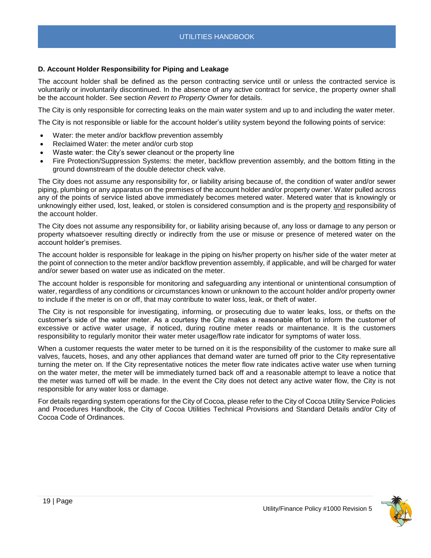## <span id="page-18-0"></span>**D. Account Holder Responsibility for Piping and Leakage**

The account holder shall be defined as the person contracting service until or unless the contracted service is voluntarily or involuntarily discontinued. In the absence of any active contract for service, the property owner shall be the account holder. See section *Revert to Property Owner* for details.

The City is only responsible for correcting leaks on the main water system and up to and including the water meter.

The City is not responsible or liable for the account holder's utility system beyond the following points of service:

- Water: the meter and/or backflow prevention assembly
- Reclaimed Water: the meter and/or curb stop
- Waste water: the City's sewer cleanout or the property line
- Fire Protection/Suppression Systems: the meter, backflow prevention assembly, and the bottom fitting in the ground downstream of the double detector check valve.

The City does not assume any responsibility for, or liability arising because of, the condition of water and/or sewer piping, plumbing or any apparatus on the premises of the account holder and/or property owner. Water pulled across any of the points of service listed above immediately becomes metered water. Metered water that is knowingly or unknowingly either used, lost, leaked, or stolen is considered consumption and is the property and responsibility of the account holder.

The City does not assume any responsibility for, or liability arising because of, any loss or damage to any person or property whatsoever resulting directly or indirectly from the use or misuse or presence of metered water on the account holder's premises.

The account holder is responsible for leakage in the piping on his/her property on his/her side of the water meter at the point of connection to the meter and/or backflow prevention assembly, if applicable, and will be charged for water and/or sewer based on water use as indicated on the meter.

The account holder is responsible for monitoring and safeguarding any intentional or unintentional consumption of water, regardless of any conditions or circumstances known or unknown to the account holder and/or property owner to include if the meter is on or off, that may contribute to water loss, leak, or theft of water.

The City is not responsible for investigating, informing, or prosecuting due to water leaks, loss, or thefts on the customer's side of the water meter. As a courtesy the City makes a reasonable effort to inform the customer of excessive or active water usage, if noticed, during routine meter reads or maintenance. It is the customers responsibility to regularly monitor their water meter usage/flow rate indicator for symptoms of water loss.

When a customer requests the water meter to be turned on it is the responsibility of the customer to make sure all valves, faucets, hoses, and any other appliances that demand water are turned off prior to the City representative turning the meter on. If the City representative notices the meter flow rate indicates active water use when turning on the water meter, the meter will be immediately turned back off and a reasonable attempt to leave a notice that the meter was turned off will be made. In the event the City does not detect any active water flow, the City is not responsible for any water loss or damage.

For details regarding system operations for the City of Cocoa, please refer to the City of Cocoa Utility Service Policies and Procedures Handbook, the City of Cocoa Utilities Technical Provisions and Standard Details and/or City of Cocoa Code of Ordinances.

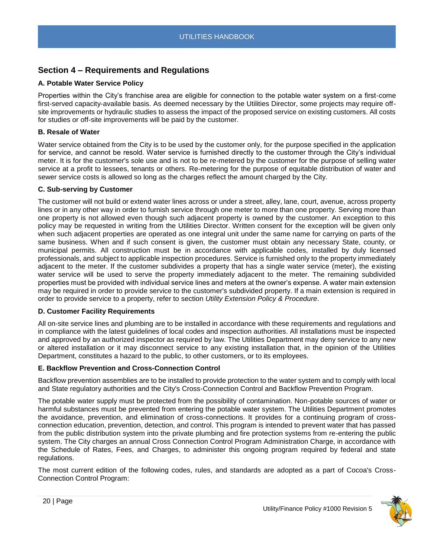## <span id="page-19-0"></span>**Section 4 – Requirements and Regulations**

## <span id="page-19-1"></span>**A. Potable Water Service Policy**

Properties within the City's franchise area are eligible for connection to the potable water system on a first-come first-served capacity-available basis. As deemed necessary by the Utilities Director, some projects may require offsite improvements or hydraulic studies to assess the impact of the proposed service on existing customers. All costs for studies or off-site improvements will be paid by the customer.

## **B. Resale of Water**

Water service obtained from the City is to be used by the customer only, for the purpose specified in the application for service, and cannot be resold. Water service is furnished directly to the customer through the City's individual meter. It is for the customer's sole use and is not to be re-metered by the customer for the purpose of selling water service at a profit to lessees, tenants or others. Re-metering for the purpose of equitable distribution of water and sewer service costs is allowed so long as the charges reflect the amount charged by the City.

## **C. Sub-serving by Customer**

The customer will not build or extend water lines across or under a street, alley, lane, court, avenue, across property lines or in any other way in order to furnish service through one meter to more than one property. Serving more than one property is not allowed even though such adjacent property is owned by the customer. An exception to this policy may be requested in writing from the Utilities Director. Written consent for the exception will be given only when such adjacent properties are operated as one integral unit under the same name for carrying on parts of the same business. When and if such consent is given, the customer must obtain any necessary State, county, or municipal permits. All construction must be in accordance with applicable codes, installed by duly licensed professionals, and subject to applicable inspection procedures. Service is furnished only to the property immediately adjacent to the meter. If the customer subdivides a property that has a single water service (meter), the existing water service will be used to serve the property immediately adjacent to the meter. The remaining subdivided properties must be provided with individual service lines and meters at the owner's expense. A water main extension may be required in order to provide service to the customer's subdivided property. If a main extension is required in order to provide service to a property, refer to section *Utility Extension Policy & Procedure*.

## **D. Customer Facility Requirements**

All on-site service lines and plumbing are to be installed in accordance with these requirements and regulations and in compliance with the latest guidelines of local codes and inspection authorities. All installations must be inspected and approved by an authorized inspector as required by law. The Utilities Department may deny service to any new or altered installation or it may disconnect service to any existing installation that, in the opinion of the Utilities Department, constitutes a hazard to the public, to other customers, or to its employees.

## **E. Backflow Prevention and Cross-Connection Control**

Backflow prevention assemblies are to be installed to provide protection to the water system and to comply with local and State regulatory authorities and the City's Cross-Connection Control and Backflow Prevention Program.

The potable water supply must be protected from the possibility of contamination. Non-potable sources of water or harmful substances must be prevented from entering the potable water system. The Utilities Department promotes the avoidance, prevention, and elimination of cross-connections. It provides for a continuing program of crossconnection education, prevention, detection, and control. This program is intended to prevent water that has passed from the public distribution system into the private plumbing and fire protection systems from re-entering the public system. The City charges an annual Cross Connection Control Program Administration Charge, in accordance with the Schedule of Rates, Fees, and Charges, to administer this ongoing program required by federal and state regulations.

The most current edition of the following codes, rules, and standards are adopted as a part of Cocoa's Cross-Connection Control Program:

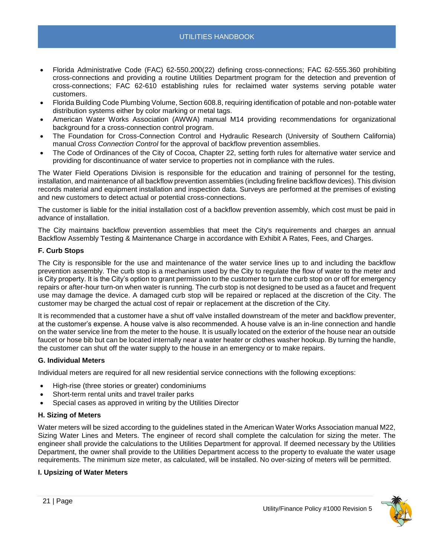- Florida Administrative Code (FAC) 62-550.200(22) defining cross-connections; FAC 62-555.360 prohibiting cross-connections and providing a routine Utilities Department program for the detection and prevention of cross-connections; FAC 62-610 establishing rules for reclaimed water systems serving potable water customers.
- Florida Building Code Plumbing Volume, Section 608.8, requiring identification of potable and non-potable water distribution systems either by color marking or metal tags.
- American Water Works Association (AWWA) manual M14 providing recommendations for organizational background for a cross-connection control program.
- The Foundation for Cross-Connection Control and Hydraulic Research (University of Southern California) manual *Cross Connection Control* for the approval of backflow prevention assemblies.
- The Code of Ordinances of the City of Cocoa, Chapter 22, setting forth rules for alternative water service and providing for discontinuance of water service to properties not in compliance with the rules.

The Water Field Operations Division is responsible for the education and training of personnel for the testing, installation, and maintenance of all backflow prevention assemblies (including fireline backflow devices). This division records material and equipment installation and inspection data. Surveys are performed at the premises of existing and new customers to detect actual or potential cross-connections.

The customer is liable for the initial installation cost of a backflow prevention assembly, which cost must be paid in advance of installation.

The City maintains backflow prevention assemblies that meet the City's requirements and charges an annual Backflow Assembly Testing & Maintenance Charge in accordance with Exhibit A Rates, Fees, and Charges.

## **F. Curb Stops**

The City is responsible for the use and maintenance of the water service lines up to and including the backflow prevention assembly. The curb stop is a mechanism used by the City to regulate the flow of water to the meter and is City property. It is the City's option to grant permission to the customer to turn the curb stop on or off for emergency repairs or after-hour turn-on when water is running. The curb stop is not designed to be used as a faucet and frequent use may damage the device. A damaged curb stop will be repaired or replaced at the discretion of the City. The customer may be charged the actual cost of repair or replacement at the discretion of the City.

It is recommended that a customer have a shut off valve installed downstream of the meter and backflow preventer, at the customer's expense. A house valve is also recommended. A house valve is an in-line connection and handle on the water service line from the meter to the house. It is usually located on the exterior of the house near an outside faucet or hose bib but can be located internally near a water heater or clothes washer hookup. By turning the handle, the customer can shut off the water supply to the house in an emergency or to make repairs.

## **G. Individual Meters**

Individual meters are required for all new residential service connections with the following exceptions:

- High-rise (three stories or greater) condominiums
- Short-term rental units and travel trailer parks
- Special cases as approved in writing by the Utilities Director

## **H. Sizing of Meters**

Water meters will be sized according to the guidelines stated in the American Water Works Association manual M22, Sizing Water Lines and Meters. The engineer of record shall complete the calculation for sizing the meter. The engineer shall provide the calculations to the Utilities Department for approval. If deemed necessary by the Utilities Department, the owner shall provide to the Utilities Department access to the property to evaluate the water usage requirements. The minimum size meter, as calculated, will be installed. No over-sizing of meters will be permitted.

## **I. Upsizing of Water Meters**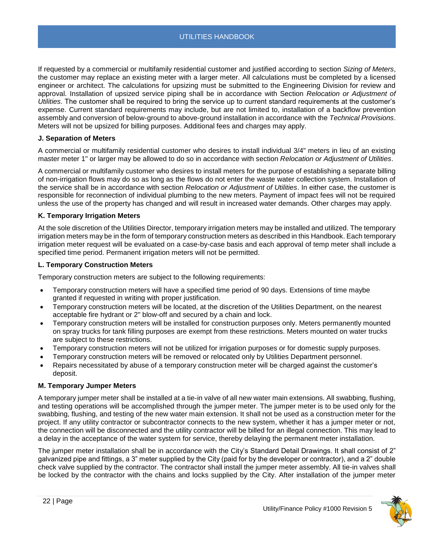If requested by a commercial or multifamily residential customer and justified according to section *Sizing of Meters*, the customer may replace an existing meter with a larger meter. All calculations must be completed by a licensed engineer or architect. The calculations for upsizing must be submitted to the Engineering Division for review and approval. Installation of upsized service piping shall be in accordance with Section *Relocation or Adjustment of Utilities*. The customer shall be required to bring the service up to current standard requirements at the customer's expense. Current standard requirements may include, but are not limited to, installation of a backflow prevention assembly and conversion of below-ground to above-ground installation in accordance with the *Technical Provisions*. Meters will not be upsized for billing purposes. Additional fees and charges may apply.

## **J. Separation of Meters**

A commercial or multifamily residential customer who desires to install individual 3/4" meters in lieu of an existing master meter 1" or larger may be allowed to do so in accordance with section *Relocation or Adjustment of Utilities*.

A commercial or multifamily customer who desires to install meters for the purpose of establishing a separate billing of non-irrigation flows may do so as long as the flows do not enter the waste water collection system. Installation of the service shall be in accordance with section *Relocation or Adjustment of Utilities*. In either case, the customer is responsible for reconnection of individual plumbing to the new meters. Payment of impact fees will not be required unless the use of the property has changed and will result in increased water demands. Other charges may apply.

## **K. Temporary Irrigation Meters**

At the sole discretion of the Utilities Director, temporary irrigation meters may be installed and utilized. The temporary irrigation meters may be in the form of temporary construction meters as described in this Handbook. Each temporary irrigation meter request will be evaluated on a case-by-case basis and each approval of temp meter shall include a specified time period. Permanent irrigation meters will not be permitted.

## **L. Temporary Construction Meters**

Temporary construction meters are subject to the following requirements:

- Temporary construction meters will have a specified time period of 90 days. Extensions of time maybe granted if requested in writing with proper justification.
- Temporary construction meters will be located, at the discretion of the Utilities Department, on the nearest acceptable fire hydrant or 2" blow-off and secured by a chain and lock.
- Temporary construction meters will be installed for construction purposes only. Meters permanently mounted on spray trucks for tank filling purposes are exempt from these restrictions. Meters mounted on water trucks are subject to these restrictions.
- Temporary construction meters will not be utilized for irrigation purposes or for domestic supply purposes.
- Temporary construction meters will be removed or relocated only by Utilities Department personnel.
- Repairs necessitated by abuse of a temporary construction meter will be charged against the customer's deposit.

## **M. Temporary Jumper Meters**

A temporary jumper meter shall be installed at a tie-in valve of all new water main extensions. All swabbing, flushing, and testing operations will be accomplished through the jumper meter. The jumper meter is to be used only for the swabbing, flushing, and testing of the new water main extension. It shall not be used as a construction meter for the project. If any utility contractor or subcontractor connects to the new system, whether it has a jumper meter or not, the connection will be disconnected and the utility contractor will be billed for an illegal connection. This may lead to a delay in the acceptance of the water system for service, thereby delaying the permanent meter installation.

The jumper meter installation shall be in accordance with the City's Standard Detail Drawings. It shall consist of 2" galvanized pipe and fittings, a 3" meter supplied by the City (paid for by the developer or contractor), and a 2" double check valve supplied by the contractor. The contractor shall install the jumper meter assembly. All tie-in valves shall be locked by the contractor with the chains and locks supplied by the City. After installation of the jumper meter

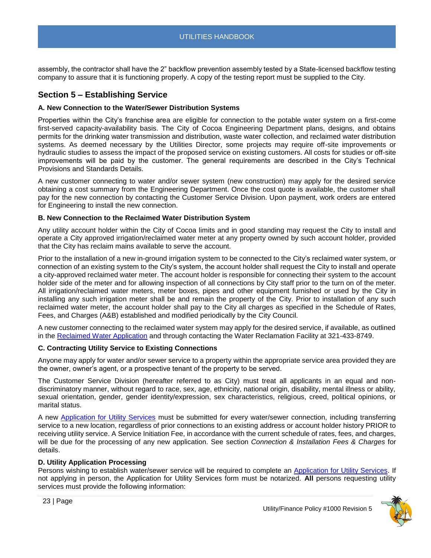assembly, the contractor shall have the 2" backflow prevention assembly tested by a State-licensed backflow testing company to assure that it is functioning properly. A copy of the testing report must be supplied to the City.

## <span id="page-22-0"></span>**Section 5 – Establishing Service**

## <span id="page-22-1"></span>**A. New Connection to the Water/Sewer Distribution Systems**

Properties within the City's franchise area are eligible for connection to the potable water system on a first-come first-served capacity-availability basis. The City of Cocoa Engineering Department plans, designs, and obtains permits for the drinking water transmission and distribution, waste water collection, and reclaimed water distribution systems. As deemed necessary by the Utilities Director, some projects may require off-site improvements or hydraulic studies to assess the impact of the proposed service on existing customers. All costs for studies or off-site improvements will be paid by the customer. The general requirements are described in the City's Technical Provisions and Standards Details.

A new customer connecting to water and/or sewer system (new construction) may apply for the desired service obtaining a cost summary from the Engineering Department. Once the cost quote is available, the customer shall pay for the new connection by contacting the Customer Service Division. Upon payment, work orders are entered for Engineering to install the new connection.

## <span id="page-22-2"></span>**B. New Connection to the Reclaimed Water Distribution System**

Any utility account holder within the City of Cocoa limits and in good standing may request the City to install and operate a City approved irrigation/reclaimed water meter at any property owned by such account holder, provided that the City has reclaim mains available to serve the account.

Prior to the installation of a new in-ground irrigation system to be connected to the City's reclaimed water system, or connection of an existing system to the City's system, the account holder shall request the City to install and operate a city-approved reclaimed water meter. The account holder is responsible for connecting their system to the account holder side of the meter and for allowing inspection of all connections by City staff prior to the turn on of the meter. All irrigation/reclaimed water meters, meter boxes, pipes and other equipment furnished or used by the City in installing any such irrigation meter shall be and remain the property of the City. Prior to installation of any such reclaimed water meter, the account holder shall pay to the City all charges as specified in the Schedule of Rates, Fees, and Charges (A&B) established and modified periodically by the City Council.

A new customer connecting to the reclaimed water system may apply for the desired service, if available, as outlined in the [Reclaimed Water Application](file://///chv-file03/dept$/City%20Manager/PR/ADA%20Accessibility%20Docs/TO%20DO%20-%20Make%20Accessible/a) and through contacting the Water Reclamation Facility at 321-433-8749.

## <span id="page-22-3"></span>**C. Contracting Utility Service to Existing Connections**

Anyone may apply for water and/or sewer service to a property within the appropriate service area provided they are the owner, owner's agent, or a prospective tenant of the property to be served.

The Customer Service Division (hereafter referred to as City) must treat all applicants in an equal and nondiscriminatory manner, without regard to race, sex, age, ethnicity, national origin, disability, mental illness or ability, sexual orientation, gender, gender identity/expression, sex characteristics, religious, creed, political opinions, or marital status.

A new [Application for Utility Services](file://///chv-file03/dept$/City%20Manager/PR/ADA%20Accessibility%20Docs/TO%20DO%20-%20Make%20Accessible/a) must be submitted for every water/sewer connection, including transferring service to a new location, regardless of prior connections to an existing address or account holder history PRIOR to receiving utility service. A Service Initiation Fee, in accordance with the current schedule of rates, fees, and charges, will be due for the processing of any new application. See section *Connection & Installation Fees & Charges* for details.

## <span id="page-22-4"></span>**D. Utility Application Processing**

Persons wishing to establish water/sewer service will be required to complete an [Application for Utility Services.](file://///chv-file03/dept$/City%20Manager/PR/ADA%20Accessibility%20Docs/TO%20DO%20-%20Make%20Accessible/a) If not applying in person, the Application for Utility Services form must be notarized. **All** persons requesting utility services must provide the following information:

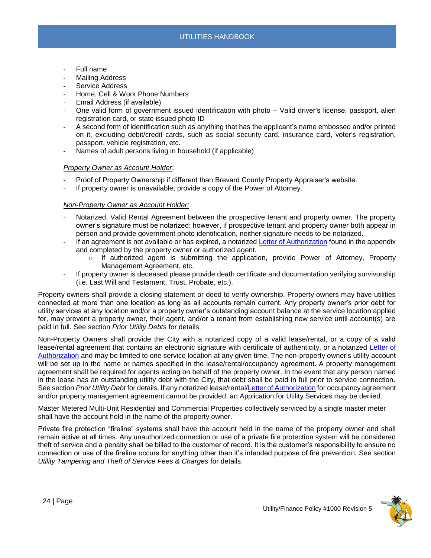- Full name
- Mailing Address
- Service Address
- Home, Cell & Work Phone Numbers
- Email Address (if available)
- One valid form of government issued identification with photo Valid driver's license, passport, alien registration card, or state issued photo ID
- A second form of identification such as anything that has the applicant's name embossed and/or printed on it, excluding debit/credit cards, such as social security card, insurance card, voter's registration, passport, vehicle registration, etc.
- Names of adult persons living in household (if applicable)

## *Property Owner as Account Holder*:

- Proof of Property Ownership if different than Brevard County Property Appraiser's website.
- If property owner is unavailable, provide a copy of the Power of Attorney.

## *Non-Property Owner as Account Holder:*

- Notarized, Valid Rental Agreement between the prospective tenant and property owner. The property owner's signature must be notarized; however, if prospective tenant and property owner both appear in person and provide government photo identification, neither signature needs to be notarized.
- If an agreement is not available or has expired, a notarized [Letter of Authorization](file://///chv-file03/dept$/City%20Manager/PR/ADA%20Accessibility%20Docs/TO%20DO%20-%20Make%20Accessible/a) found in the appendix and completed by the property owner or authorized agent.
	- $\circ$  If authorized agent is submitting the application, provide Power of Attorney, Property Management Agreement, etc.
- If property owner is deceased please provide death certificate and documentation verifying survivorship (i.e. Last Will and Testament, Trust, Probate, etc.).

<span id="page-23-0"></span>Property owners shall provide a closing statement or deed to verify ownership. Property owners may have utilities connected at more than one location as long as all accounts remain current. Any property owner's prior debt for utility services at any location and/or a property owner's outstanding account balance at the service location applied for, may prevent a property owner, their agent, and/or a tenant from establishing new service until account(s) are paid in full. See section *Prior Utility Debts* for details.

<span id="page-23-1"></span>Non-Property Owners shall provide the City with a notarized copy of a valid lease/rental, or a copy of a valid lease/rental agreement that contains an electronic signature with certificate of authenticity, or a notarized [Letter of](file://///CHV-FILE03/home$/jdovale/Jessica%20Dovale/Utility%20Management/Utility%20Support%20Service/Standard%20Operating%20Procedures%20&%20Policies/Polices%20&%20SOPs/1%20Finance-%20Utility/a)  [Authorization](file://///CHV-FILE03/home$/jdovale/Jessica%20Dovale/Utility%20Management/Utility%20Support%20Service/Standard%20Operating%20Procedures%20&%20Policies/Polices%20&%20SOPs/1%20Finance-%20Utility/a) and may be limited to one service location at any given time. The non-property owner's utility account will be set up in the name or names specified in the lease/rental/occupancy agreement. A property management agreement shall be required for agents acting on behalf of the property owner. In the event that any person named in the lease has an outstanding utility debt with the City, that debt shall be paid in full prior to service connection. See section *Prior Utility Debt* for details. If any notarized lease/rental[/Letter of Authorization](file://///CHV-FILE03/home$/jdovale/Jessica%20Dovale/Utility%20Management/Utility%20Support%20Service/Standard%20Operating%20Procedures%20&%20Policies/Polices%20&%20SOPs/1%20Finance-%20Utility/a) for occupancy agreement and/or property management agreement cannot be provided, an Application for Utility Services may be denied.

<span id="page-23-2"></span>Master Metered Multi-Unit Residential and Commercial Properties collectively serviced by a single master meter shall have the account held in the name of the property owner.

<span id="page-23-3"></span>Private fire protection "fireline" systems shall have the account held in the name of the property owner and shall remain active at all times. Any unauthorized connection or use of a private fire protection system will be considered theft of service and a penalty shall be billed to the customer of record. It is the customer's responsibility to ensure no connection or use of the fireline occurs for anything other than it's intended purpose of fire prevention. See section *Utility Tampering and Theft of Service Fees & Charges* for details.

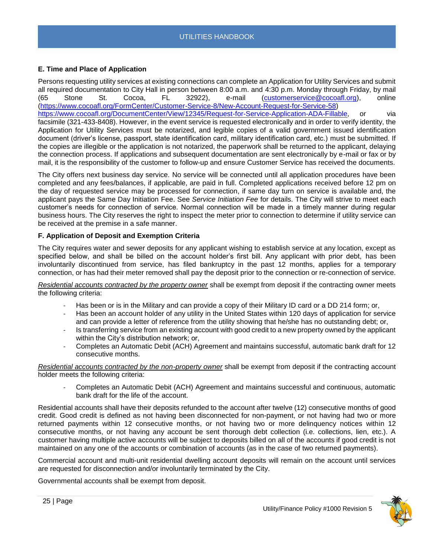## <span id="page-24-0"></span>**E. Time and Place of Application**

Persons requesting utility services at existing connections can complete an Application for Utility Services and submit all required documentation to City Hall in person between 8:00 a.m. and 4:30 p.m. Monday through Friday, by mail (65 Stone St. Cocoa, FL 32922), e-mail [\(customerservice@cocoafl.org\)](mailto:customerservice@cocoafl.org), online [\(https://www.cocoafl.org/FormCenter/Customer-Service-8/New-Account-Request-for-Service-58\)](https://www.cocoafl.org/FormCenter/Customer-Service-8/New-Account-Request-for-Service-58) [https://www.cocoafl.org/DocumentCenter/View/12345/Request-for-Service-Application-ADA-Fillable,](https://www.cocoafl.org/DocumentCenter/View/12345/Request-for-Service-Application-ADA-Fillable) or via facsimile (321-433-8408). However, in the event service is requested electronically and in order to verify identity, the Application for Utility Services must be notarized, and legible copies of a valid government issued identification document (driver's license, passport, state identification card, military identification card, etc.) must be submitted. If the copies are illegible or the application is not notarized, the paperwork shall be returned to the applicant, delaying the connection process. If applications and subsequent documentation are sent electronically by e-mail or fax or by mail, it is the responsibility of the customer to follow-up and ensure Customer Service has received the documents.

The City offers next business day service. No service will be connected until all application procedures have been completed and any fees/balances, if applicable, are paid in full. Completed applications received before 12 pm on the day of requested service may be processed for connection, if same day turn on service is available and, the applicant pays the Same Day Initiation Fee. See *Service Initiation Fee* for details. The City will strive to meet each customer's needs for connection of service. Normal connection will be made in a timely manner during regular business hours. The City reserves the right to inspect the meter prior to connection to determine if utility service can be received at the premise in a safe manner.

## <span id="page-24-1"></span>**F. Application of Deposit and Exemption Criteria**

The City requires water and sewer deposits for any applicant wishing to establish service at any location, except as specified below, and shall be billed on the account holder's first bill. Any applicant with prior debt, has been involuntarily discontinued from service, has filed bankruptcy in the past 12 months, applies for a temporary connection, or has had their meter removed shall pay the deposit prior to the connection or re-connection of service.

*Residential accounts contracted by the property owner* shall be exempt from deposit if the contracting owner meets the following criteria:

- Has been or is in the Military and can provide a copy of their Military ID card or a DD 214 form; or,
- Has been an account holder of any utility in the United States within 120 days of application for service and can provide a letter of reference from the utility showing that he/she has no outstanding debt; or,
- Is transferring service from an existing account with good credit to a new property owned by the applicant within the City's distribution network; or,
- Completes an Automatic Debit (ACH) Agreement and maintains successful, automatic bank draft for 12 consecutive months.

*Residential accounts contracted by the non-property owner* shall be exempt from deposit if the contracting account holder meets the following criteria:

- Completes an Automatic Debit (ACH) Agreement and maintains successful and continuous, automatic bank draft for the life of the account.

Residential accounts shall have their deposits refunded to the account after twelve (12) consecutive months of good credit. Good credit is defined as not having been disconnected for non-payment, or not having had two or more returned payments within 12 consecutive months, or not having two or more delinquency notices within 12 consecutive months, or not having any account be sent thorough debt collection (i.e. collections, lien, etc.). A customer having multiple active accounts will be subject to deposits billed on all of the accounts if good credit is not maintained on any one of the accounts or combination of accounts (as in the case of two returned payments).

Commercial account and multi-unit residential dwelling account deposits will remain on the account until services are requested for disconnection and/or involuntarily terminated by the City.

Governmental accounts shall be exempt from deposit.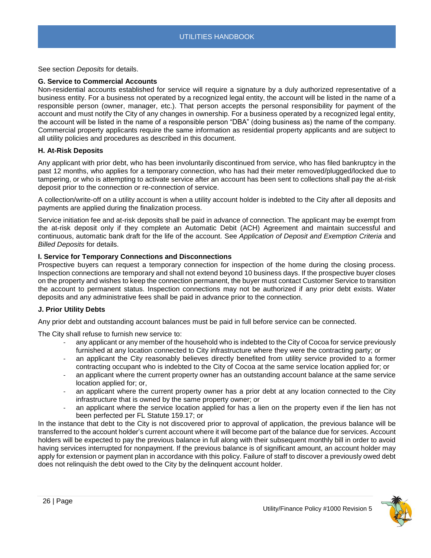See section *Deposits* for details.

## <span id="page-25-0"></span>**G. Service to Commercial Accounts**

Non-residential accounts established for service will require a signature by a duly authorized representative of a business entity. For a business not operated by a recognized legal entity, the account will be listed in the name of a responsible person (owner, manager, etc.). That person accepts the personal responsibility for payment of the account and must notify the City of any changes in ownership. For a business operated by a recognized legal entity, the account will be listed in the name of a responsible person "DBA" (doing business as) the name of the company. Commercial property applicants require the same information as residential property applicants and are subject to all utility policies and procedures as described in this document.

## <span id="page-25-1"></span>**H. At-Risk Deposits**

Any applicant with prior debt, who has been involuntarily discontinued from service, who has filed bankruptcy in the past 12 months, who applies for a temporary connection, who has had their meter removed/plugged/locked due to tampering, or who is attempting to activate service after an account has been sent to collections shall pay the at-risk deposit prior to the connection or re-connection of service.

A collection/write-off on a utility account is when a utility account holder is indebted to the City after all deposits and payments are applied during the finalization process.

Service initiation fee and at-risk deposits shall be paid in advance of connection. The applicant may be exempt from the at-risk deposit only if they complete an Automatic Debit (ACH) Agreement and maintain successful and continuous, automatic bank draft for the life of the account. See *Application of Deposit and Exemption Criteria* and *Billed Deposits* for details.

## <span id="page-25-2"></span>**I. Service for Temporary Connections and Disconnections**

Prospective buyers can request a temporary connection for inspection of the home during the closing process. Inspection connections are temporary and shall not extend beyond 10 business days. If the prospective buyer closes on the property and wishes to keep the connection permanent, the buyer must contact Customer Service to transition the account to permanent status. Inspection connections may not be authorized if any prior debt exists. Water deposits and any administrative fees shall be paid in advance prior to the connection.

## <span id="page-25-3"></span>**J. Prior Utility Debts**

Any prior debt and outstanding account balances must be paid in full before service can be connected.

The City shall refuse to furnish new service to:

- any applicant or any member of the household who is indebted to the City of Cocoa for service previously furnished at any location connected to City infrastructure where they were the contracting party; or
- an applicant the City reasonably believes directly benefited from utility service provided to a former contracting occupant who is indebted to the City of Cocoa at the same service location applied for; or
- an applicant where the current property owner has an outstanding account balance at the same service location applied for; or,
- an applicant where the current property owner has a prior debt at any location connected to the City infrastructure that is owned by the same property owner; or
- an applicant where the service location applied for has a lien on the property even if the lien has not been perfected per FL Statute 159.17; or

In the instance that debt to the City is not discovered prior to approval of application, the previous balance will be transferred to the account holder's current account where it will become part of the balance due for services. Account holders will be expected to pay the previous balance in full along with their subsequent monthly bill in order to avoid having services interrupted for nonpayment. If the previous balance is of significant amount, an account holder may apply for extension or payment plan in accordance with this policy. Failure of staff to discover a previously owed debt does not relinquish the debt owed to the City by the delinquent account holder.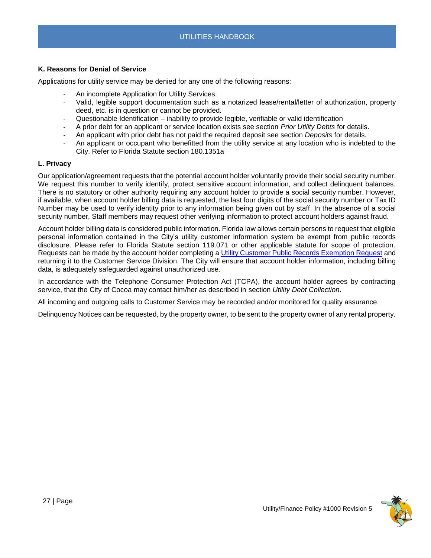## <span id="page-26-0"></span>**K. Reasons for Denial of Service**

Applications for utility service may be denied for any one of the following reasons:

- An incomplete Application for Utility Services.
- Valid, legible support documentation such as a notarized lease/rental/letter of authorization, property deed, etc. is in question or cannot be provided.
- Questionable Identification inability to provide legible, verifiable or valid identification
- A prior debt for an applicant or service location exists see section *Prior Utility Debts* for details.
- An applicant with prior debt has not paid the required deposit see section *Deposits* for details.
- An applicant or occupant who benefitted from the utility service at any location who is indebted to the City. Refer to Florida Statute section 180.1351a

#### <span id="page-26-1"></span>**L. Privacy**

Our application/agreement requests that the potential account holder voluntarily provide their social security number. We request this number to verify identify, protect sensitive account information, and collect delinquent balances. There is no statutory or other authority requiring any account holder to provide a social security number. However, if available, when account holder billing data is requested, the last four digits of the social security number or Tax ID Number may be used to verify identity prior to any information being given out by staff. In the absence of a social security number, Staff members may request other verifying information to protect account holders against fraud.

Account holder billing data is considered public information. Florida law allows certain persons to request that eligible personal information contained in the City's utility customer information system be exempt from public records disclosure. Please refer to Florida Statute section 119.071 or other applicable statute for scope of protection. Requests can be made by the account holder completing a [Utility Customer Public Records Exemption Request](file://///chv-file03/dept$/City%20Manager/PR/ADA%20Accessibility%20Docs/TO%20DO%20-%20Make%20Accessible/a) and returning it to the Customer Service Division. The City will ensure that account holder information, including billing data, is adequately safeguarded against unauthorized use.

In accordance with the Telephone Consumer Protection Act (TCPA), the account holder agrees by contracting service, that the City of Cocoa may contact him/her as described in section *Utility Debt Collection*.

All incoming and outgoing calls to Customer Service may be recorded and/or monitored for quality assurance.

Delinquency Notices can be requested, by the property owner, to be sent to the property owner of any rental property.

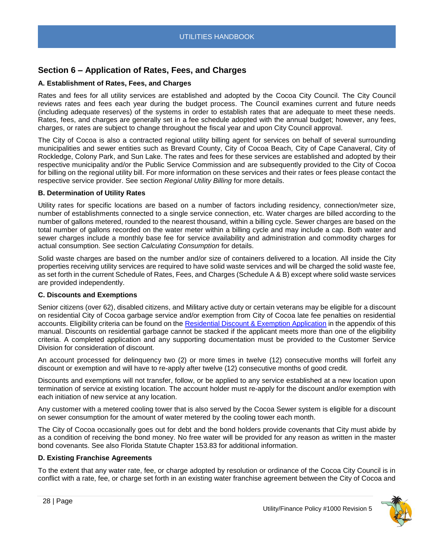## <span id="page-27-0"></span>**Section 6 – Application of Rates, Fees, and Charges**

## <span id="page-27-1"></span>**A. Establishment of Rates, Fees, and Charges**

Rates and fees for all utility services are established and adopted by the Cocoa City Council. The City Council reviews rates and fees each year during the budget process. The Council examines current and future needs (including adequate reserves) of the systems in order to establish rates that are adequate to meet these needs. Rates, fees, and charges are generally set in a fee schedule adopted with the annual budget; however, any fees, charges, or rates are subject to change throughout the fiscal year and upon City Council approval.

The City of Cocoa is also a contracted regional utility billing agent for services on behalf of several surrounding municipalities and sewer entities such as Brevard County, City of Cocoa Beach, City of Cape Canaveral, City of Rockledge, Colony Park, and Sun Lake. The rates and fees for these services are established and adopted by their respective municipality and/or the Public Service Commission and are subsequently provided to the City of Cocoa for billing on the regional utility bill. For more information on these services and their rates or fees please contact the respective service provider. See section *Regional Utility Billing* for more details.

## <span id="page-27-2"></span>**B. Determination of Utility Rates**

Utility rates for specific locations are based on a number of factors including residency, connection/meter size, number of establishments connected to a single service connection, etc. Water charges are billed according to the number of gallons metered, rounded to the nearest thousand, within a billing cycle. Sewer charges are based on the total number of gallons recorded on the water meter within a billing cycle and may include a cap. Both water and sewer charges include a monthly base fee for service availability and administration and commodity charges for actual consumption. See section *Calculating Consumption* for details.

Solid waste charges are based on the number and/or size of containers delivered to a location. All inside the City properties receiving utility services are required to have solid waste services and will be charged the solid waste fee, as set forth in the current Schedule of Rates, Fees, and Charges (Schedule A & B) except where solid waste services are provided independently.

## <span id="page-27-3"></span>**C. Discounts and Exemptions**

Senior citizens (over 62), disabled citizens, and Military active duty or certain veterans may be eligible for a discount on residential City of Cocoa garbage service and/or exemption from City of Cocoa late fee penalties on residential accounts. Eligibility criteria can be found on the [Residential Discount & Exemption Application](file://///chv-file03/dept$/City%20Manager/PR/ADA%20Accessibility%20Docs/TO%20DO%20-%20Make%20Accessible/a) in the appendix of this manual. Discounts on residential garbage cannot be stacked if the applicant meets more than one of the eligibility criteria. A completed application and any supporting documentation must be provided to the Customer Service Division for consideration of discount.

An account processed for delinquency two (2) or more times in twelve (12) consecutive months will forfeit any discount or exemption and will have to re-apply after twelve (12) consecutive months of good credit.

Discounts and exemptions will not transfer, follow, or be applied to any service established at a new location upon termination of service at existing location. The account holder must re-apply for the discount and/or exemption with each initiation of new service at any location.

Any customer with a metered cooling tower that is also served by the Cocoa Sewer system is eligible for a discount on sewer consumption for the amount of water metered by the cooling tower each month.

The City of Cocoa occasionally goes out for debt and the bond holders provide covenants that City must abide by as a condition of receiving the bond money. No free water will be provided for any reason as written in the master bond covenants. See also Florida Statute Chapter 153.83 for additional information.

## <span id="page-27-4"></span>**D. Existing Franchise Agreements**

To the extent that any water rate, fee, or charge adopted by resolution or ordinance of the Cocoa City Council is in conflict with a rate, fee, or charge set forth in an existing water franchise agreement between the City of Cocoa and

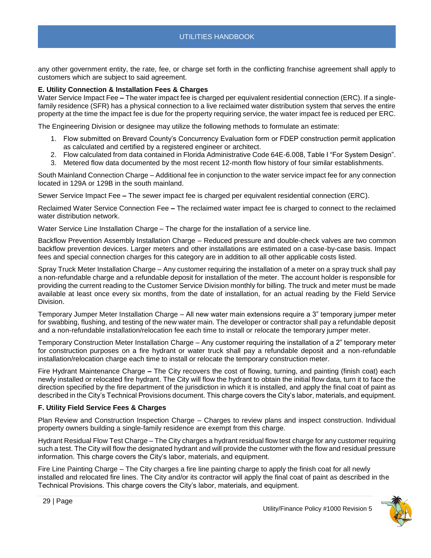any other government entity, the rate, fee, or charge set forth in the conflicting franchise agreement shall apply to customers which are subject to said agreement.

## <span id="page-28-0"></span>**E. Utility Connection & Installation Fees & Charges**

<span id="page-28-1"></span>Water Service Impact Fee – The water impact fee is charged per equivalent residential connection (ERC). If a singlefamily residence (SFR) has a physical connection to a live reclaimed water distribution system that serves the entire property at the time the impact fee is due for the property requiring service, the water impact fee is reduced per ERC.

The Engineering Division or designee may utilize the following methods to formulate an estimate:

- 1. Flow submitted on Brevard County's Concurrency Evaluation form or FDEP construction permit application as calculated and certified by a registered engineer or architect.
- 2. Flow calculated from data contained in Florida Administrative Code 64E-6.008, Table I "For System Design".
- 3. Metered flow data documented by the most recent 12-month flow history of four similar establishments.

<span id="page-28-2"></span>South Mainland Connection Charge – Additional fee in conjunction to the water service impact fee for any connection located in 129A or 129B in the south mainland.

<span id="page-28-3"></span>Sewer Service Impact Fee *–* The sewer impact fee is charged per equivalent residential connection (ERC).

<span id="page-28-4"></span>Reclaimed Water Service Connection Fee *–* The reclaimed water impact fee is charged to connect to the reclaimed water distribution network.

<span id="page-28-5"></span>Water Service Line Installation Charge – The charge for the installation of a service line.

<span id="page-28-6"></span>Backflow Prevention Assembly Installation Charge – Reduced pressure and double-check valves are two common backflow prevention devices. Larger meters and other installations are estimated on a case-by-case basis. Impact fees and special connection charges for this category are in addition to all other applicable costs listed.

<span id="page-28-7"></span>Spray Truck Meter Installation Charge – Any customer requiring the installation of a meter on a spray truck shall pay a non-refundable charge and a refundable deposit for installation of the meter. The account holder is responsible for providing the current reading to the Customer Service Division monthly for billing. The truck and meter must be made available at least once every six months, from the date of installation, for an actual reading by the Field Service Division.

<span id="page-28-8"></span>Temporary Jumper Meter Installation Charge – All new water main extensions require a 3" temporary jumper meter for swabbing, flushing, and testing of the new water main. The developer or contractor shall pay a refundable deposit and a non-refundable installation/relocation fee each time to install or relocate the temporary jumper meter.

<span id="page-28-9"></span>Temporary Construction Meter Installation Charge – Any customer requiring the installation of a 2" temporary meter for construction purposes on a fire hydrant or water truck shall pay a refundable deposit and a non-refundable installation/relocation charge each time to install or relocate the temporary construction meter.

<span id="page-28-10"></span>Fire Hydrant Maintenance Charge *–* The City recovers the cost of flowing, turning, and painting (finish coat) each newly installed or relocated fire hydrant. The City will flow the hydrant to obtain the initial flow data, turn it to face the direction specified by the fire department of the jurisdiction in which it is installed, and apply the final coat of paint as described in the City's Technical Provisions document. This charge covers the City's labor, materials, and equipment.

#### <span id="page-28-11"></span>**F. Utility Field Service Fees & Charges**

<span id="page-28-12"></span>Plan Review and Construction Inspection Charge – Charges to review plans and inspect construction. Individual property owners building a single-family residence are exempt from this charge.

<span id="page-28-13"></span>Hydrant Residual Flow Test Charge – The City charges a hydrant residual flow test charge for any customer requiring such a test. The City will flow the designated hydrant and will provide the customer with the flow and residual pressure information. This charge covers the City's labor, materials, and equipment.

<span id="page-28-14"></span>Fire Line Painting Charge – The City charges a fire line painting charge to apply the finish coat for all newly installed and relocated fire lines. The City and/or its contractor will apply the final coat of paint as described in the Technical Provisions. This charge covers the City's labor, materials, and equipment.

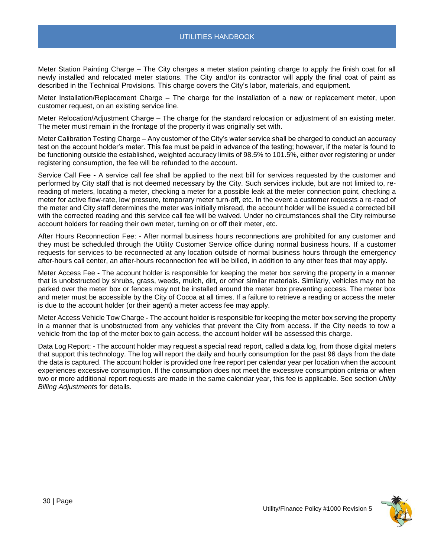<span id="page-29-0"></span>Meter Station Painting Charge – The City charges a meter station painting charge to apply the finish coat for all newly installed and relocated meter stations. The City and/or its contractor will apply the final coat of paint as described in the Technical Provisions. This charge covers the City's labor, materials, and equipment.

<span id="page-29-1"></span>Meter Installation/Replacement Charge – The charge for the installation of a new or replacement meter, upon customer request, on an existing service line.

<span id="page-29-2"></span>Meter Relocation/Adjustment Charge – The charge for the standard relocation or adjustment of an existing meter. The meter must remain in the frontage of the property it was originally set with.

<span id="page-29-3"></span>Meter Calibration Testing Charge – Any customer of the City's water service shall be charged to conduct an accuracy test on the account holder's meter. This fee must be paid in advance of the testing; however, if the meter is found to be functioning outside the established, weighted accuracy limits of 98.5% to 101.5%, either over registering or under registering consumption, the fee will be refunded to the account.

<span id="page-29-4"></span>Service Call Fee **-** A service call fee shall be applied to the next bill for services requested by the customer and performed by City staff that is not deemed necessary by the City. Such services include, but are not limited to, rereading of meters, locating a meter, checking a meter for a possible leak at the meter connection point, checking a meter for active flow-rate, low pressure, temporary meter turn-off, etc. In the event a customer requests a re-read of the meter and City staff determines the meter was initially misread, the account holder will be issued a corrected bill with the corrected reading and this service call fee will be waived. Under no circumstances shall the City reimburse account holders for reading their own meter, turning on or off their meter, etc.

<span id="page-29-5"></span>After Hours Reconnection Fee: - After normal business hours reconnections are prohibited for any customer and they must be scheduled through the Utility Customer Service office during normal business hours. If a customer requests for services to be reconnected at any location outside of normal business hours through the emergency after-hours call center, an after-hours reconnection fee will be billed, in addition to any other fees that may apply.

<span id="page-29-6"></span>Meter Access Fee **-** The account holder is responsible for keeping the meter box serving the property in a manner that is unobstructed by shrubs, grass, weeds, mulch, dirt, or other similar materials. Similarly, vehicles may not be parked over the meter box or fences may not be installed around the meter box preventing access. The meter box and meter must be accessible by the City of Cocoa at all times. If a failure to retrieve a reading or access the meter is due to the account holder (or their agent) a meter access fee may apply.

<span id="page-29-7"></span>Meter Access Vehicle Tow Charge **-** The account holder is responsible for keeping the meter box serving the property in a manner that is unobstructed from any vehicles that prevent the City from access. If the City needs to tow a vehicle from the top of the meter box to gain access, the account holder will be assessed this charge.

<span id="page-29-8"></span>Data Log Report: - The account holder may request a special read report, called a data log, from those digital meters that support this technology. The log will report the daily and hourly consumption for the past 96 days from the date the data is captured. The account holder is provided one free report per calendar year per location when the account experiences excessive consumption. If the consumption does not meet the excessive consumption criteria or when two or more additional report requests are made in the same calendar year, this fee is applicable. See section *Utility Billing Adjustments* for details.

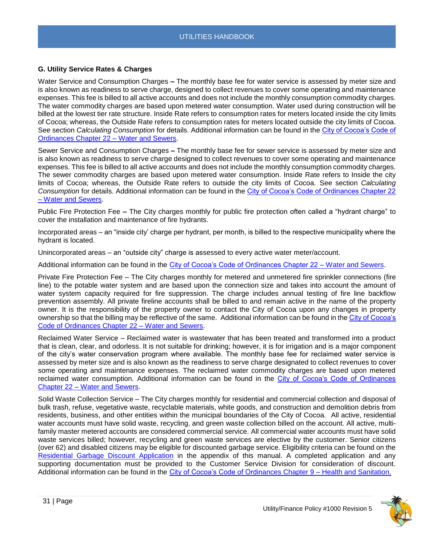## <span id="page-30-0"></span>**G. Utility Service Rates & Charges**

<span id="page-30-1"></span>Water Service and Consumption Charges *–* The monthly base fee for water service is assessed by meter size and is also known as readiness to serve charge, designed to collect revenues to cover some operating and maintenance expenses. This fee is billed to all active accounts and does not include the monthly consumption commodity charges. The water commodity charges are based upon metered water consumption. Water used during construction will be billed at the lowest tier rate structure. Inside Rate refers to consumption rates for meters located inside the city limits of Cocoa; whereas, the Outside Rate refers to consumption rates for meters located outside the city limits of Cocoa. See section *Calculating Consumption* for details. Additional information can be found in the [City of Cocoa's Code of](https://library.municode.com/fl/cocoa/codes/code_of_ordinances?nodeId=PTIICO_CH22WASE)  [Ordinances Chapter 22 –](https://library.municode.com/fl/cocoa/codes/code_of_ordinances?nodeId=PTIICO_CH22WASE) Water and Sewers.

<span id="page-30-2"></span>Sewer Service and Consumption Charges *–* The monthly base fee for sewer service is assessed by meter size and is also known as readiness to serve charge designed to collect revenues to cover some operating and maintenance expenses. This fee is billed to all active accounts and does not include the monthly consumption commodity charges. The sewer commodity charges are based upon metered water consumption. Inside Rate refers to Inside the city limits of Cocoa; whereas, the Outside Rate refers to outside the city limits of Cocoa. See section *Calculating Consumption* for details. Additional information can be found in the [City of Cocoa's Code of Ordinances Chapter 22](https://library.municode.com/fl/cocoa/codes/code_of_ordinances?nodeId=PTIICO_CH22WASE)  – [Water and Sewers.](https://library.municode.com/fl/cocoa/codes/code_of_ordinances?nodeId=PTIICO_CH22WASE)

<span id="page-30-3"></span>Public Fire Protection Fee *–* The City charges monthly for public fire protection often called a "hydrant charge" to cover the installation and maintenance of fire hydrants.

Incorporated areas – an "inside city' charge per hydrant, per month, is billed to the respective municipality where the hydrant is located.

Unincorporated areas – an "outside city" charge is assessed to every active water meter/account.

Additional information can be found in the [City of Cocoa's Code of Ordinances Chapter 22 –](https://library.municode.com/fl/cocoa/codes/code_of_ordinances?nodeId=PTIICO_CH22WASE) Water and Sewers.

<span id="page-30-4"></span>Private Fire Protection Fee – The City charges monthly for metered and unmetered fire sprinkler connections (fire line) to the potable water system and are based upon the connection size and takes into account the amount of water system capacity required for fire suppression. The charge includes annual testing of fire line backflow prevention assembly. All private fireline accounts shall be billed to and remain active in the name of the property owner. It is the responsibility of the property owner to contact the City of Cocoa upon any changes in property ownership so that the billing may be reflective of the same. Additional information can be found in th[e City of Cocoa's](https://library.municode.com/fl/cocoa/codes/code_of_ordinances?nodeId=PTIICO_CH22WASE)  [Code of Ordinances Chapter 22 –](https://library.municode.com/fl/cocoa/codes/code_of_ordinances?nodeId=PTIICO_CH22WASE) Water and Sewers.

<span id="page-30-5"></span>Reclaimed Water Service – Reclaimed water is wastewater that has been treated and transformed into a product that is clean, clear, and odorless. It is not suitable for drinking; however, it is for irrigation and is a major component of the city's water conservation program where available. The monthly base fee for reclaimed water service is assessed by meter size and is also known as the readiness to serve charge designated to collect revenues to cover some operating and maintenance expenses. The reclaimed water commodity charges are based upon metered reclaimed water consumption. Additional information can be found in the [City of Cocoa's Code of Ordinances](https://library.municode.com/fl/cocoa/codes/code_of_ordinances?nodeId=PTIICO_CH22WASE)  Chapter 22 – [Water and Sewers.](https://library.municode.com/fl/cocoa/codes/code_of_ordinances?nodeId=PTIICO_CH22WASE)

<span id="page-30-6"></span>Solid Waste Collection Service – The City charges monthly for residential and commercial collection and disposal of bulk trash, refuse, vegetative waste, recyclable materials, white goods, and construction and demolition debris from residents, business, and other entities within the municipal boundaries of the City of Cocoa. All active, residential water accounts must have solid waste, recycling, and green waste collection billed on the account. All active, multifamily master metered accounts are considered commercial service. All commercial water accounts must have solid waste services billed; however, recycling and green waste services are elective by the customer. Senior citizens (over 62) and disabled citizens may be eligible for discounted garbage service. Eligibility criteria can be found on the [Residential Garbage Discount Application](file://///chv-file03/dept$/City%20Manager/PR/ADA%20Accessibility%20Docs/TO%20DO%20-%20Make%20Accessible/a) in the appendix of this manual. A completed application and any supporting documentation must be provided to the Customer Service Division for consideration of discount. Additional information can be found in the [City of Cocoa's Code of Ordinances Chapter 9 –](https://library.municode.com/fl/cocoa/codes/code_of_ordinances?nodeId=PTIICO_CH9HESA) Health and Sanitation.

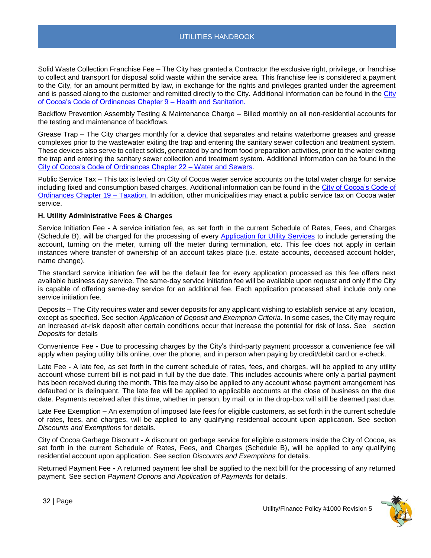<span id="page-31-0"></span>Solid Waste Collection Franchise Fee – The City has granted a Contractor the exclusive right, privilege, or franchise to collect and transport for disposal solid waste within the service area. This franchise fee is considered a payment to the City, for an amount permitted by law, in exchange for the rights and privileges granted under the agreement and is passed along to the customer and remitted directly to the City. Additional information can be found in the City [of Cocoa's Code of Ordinances Chapter 9 –](https://library.municode.com/fl/cocoa/codes/code_of_ordinances?nodeId=PTIICO_CH9HESA) Health and Sanitation.

<span id="page-31-1"></span>Backflow Prevention Assembly Testing & Maintenance Charge – Billed monthly on all non-residential accounts for the testing and maintenance of backflows.

<span id="page-31-2"></span>Grease Trap – The City charges monthly for a device that separates and retains waterborne greases and grease complexes prior to the wastewater exiting the trap and entering the sanitary sewer collection and treatment system. These devices also serve to collect solids, generated by and from food preparation activities, prior to the water exiting the trap and entering the sanitary sewer collection and treatment system. Additional information can be found in the [City of Cocoa's Code of Ordinances Chapter 22 –](https://library.municode.com/fl/cocoa/codes/code_of_ordinances?nodeId=PTIICO_CH22WASE) Water and Sewers.

<span id="page-31-3"></span>Public Service Tax – This tax is levied on City of Cocoa water service accounts on the total water charge for service including fixed and consumption based charges. Additional information can be found in the [City of Cocoa's Code](https://library.municode.com/fl/cocoa/codes/code_of_ordinances?nodeId=PTIICO_CH19TA) of [Ordinances Chapter 19 –](https://library.municode.com/fl/cocoa/codes/code_of_ordinances?nodeId=PTIICO_CH19TA) Taxation. In addition, other municipalities may enact a public service tax on Cocoa water service.

## <span id="page-31-4"></span>**H. Utility Administrative Fees & Charges**

<span id="page-31-5"></span>Service Initiation Fee **-** A service initiation fee, as set forth in the current Schedule of Rates, Fees, and Charges (Schedule B), will be charged for the processing of every [Application for Utility Services](file://///CHV-FILE03/home$/jdovale/Jessica%20Dovale/Utility%20Management/Utility%20Support%20Service/Standard%20Operating%20Procedures%20&%20Policies/Polices%20&%20SOPs/1%20Finance-%20Utility/a) to include generating the account, turning on the meter, turning off the meter during termination, etc. This fee does not apply in certain instances where transfer of ownership of an account takes place (i.e. estate accounts, deceased account holder, name change).

The standard service initiation fee will be the default fee for every application processed as this fee offers next available business day service. The same-day service initiation fee will be available upon request and only if the City is capable of offering same-day service for an additional fee. Each application processed shall include only one service initiation fee.

<span id="page-31-6"></span>Deposits *–* The City requires water and sewer deposits for any applicant wishing to establish service at any location, except as specified. See section *Application of Deposit and Exemption Criteria*. In some cases, the City may require an increased at-risk deposit after certain conditions occur that increase the potential for risk of loss. See section *Deposits* for details

<span id="page-31-7"></span>Convenience Fee **-** Due to processing charges by the City's third-party payment processor a convenience fee will apply when paying utility bills online, over the phone, and in person when paying by credit/debit card or e-check.

<span id="page-31-8"></span>Late Fee **-** A late fee, as set forth in the current schedule of rates, fees, and charges, will be applied to any utility account whose current bill is not paid in full by the due date. This includes accounts where only a partial payment has been received during the month. This fee may also be applied to any account whose payment arrangement has defaulted or is delinquent. The late fee will be applied to applicable accounts at the close of business on the due date. Payments received after this time, whether in person, by mail, or in the drop-box will still be deemed past due.

<span id="page-31-9"></span>Late Fee Exemption **–** An exemption of imposed late fees for eligible customers, as set forth in the current schedule of rates, fees, and charges, will be applied to any qualifying residential account upon application. See section *Discounts and Exemptions* for details.

<span id="page-31-10"></span>City of Cocoa Garbage Discount **-** A discount on garbage service for eligible customers inside the City of Cocoa, as set forth in the current Schedule of Rates, Fees, and Charges (Schedule B), will be applied to any qualifying residential account upon application. See section *Discounts and Exemptions* for details.

<span id="page-31-11"></span>Returned Payment Fee **-** A returned payment fee shall be applied to the next bill for the processing of any returned payment. See section *Payment Options and Application of Payments* for details.

<span id="page-31-12"></span>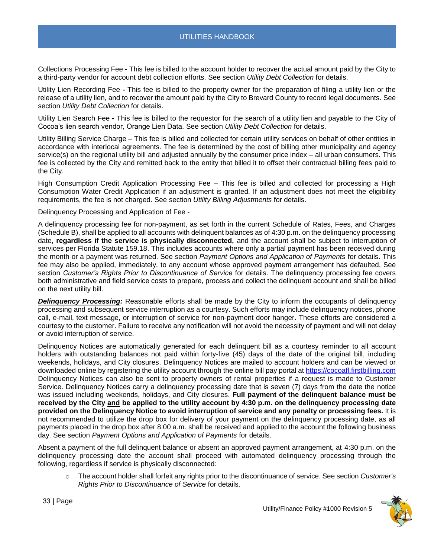Collections Processing Fee **-** This fee is billed to the account holder to recover the actual amount paid by the City to a third-party vendor for account debt collection efforts. See section *Utility Debt Collection* for details.

<span id="page-32-0"></span>Utility Lien Recording Fee **-** This fee is billed to the property owner for the preparation of filing a utility lien or the release of a utility lien, and to recover the amount paid by the City to Brevard County to record legal documents. See section *Utility Debt Collection* for details.

<span id="page-32-1"></span>Utility Lien Search Fee **-** This fee is billed to the requestor for the search of a utility lien and payable to the City of Cocoa's lien search vendor, Orange Lien Data. See section *Utility Debt Collection* for details.

<span id="page-32-2"></span>Utility Billing Service Charge – This fee is billed and collected for certain utility services on behalf of other entities in accordance with interlocal agreements. The fee is determined by the cost of billing other municipality and agency service(s) on the regional utility bill and adjusted annually by the consumer price index – all urban consumers. This fee is collected by the City and remitted back to the entity that billed it to offset their contractual billing fees paid to the City.

<span id="page-32-3"></span>High Consumption Credit Application Processing Fee – This fee is billed and collected for processing a High Consumption Water Credit Application if an adjustment is granted. If an adjustment does not meet the eligibility requirements, the fee is not charged. See section *Utility Billing Adjustments* for details.

<span id="page-32-4"></span>Delinquency Processing and Application of Fee -

A delinquency processing fee for non-payment, as set forth in the current Schedule of Rates, Fees, and Charges (Schedule B), shall be applied to all accounts with delinquent balances as of 4:30 p.m. on the delinquency processing date, **regardless if the service is physically disconnected,** and the account shall be subject to interruption of services per Florida Statute 159.18. This includes accounts where only a partial payment has been received during the month or a payment was returned. See section *Payment Options and Application of Payments* for details. This fee may also be applied, immediately, to any account whose approved payment arrangement has defaulted. See section *Customer's Rights Prior to Discontinuance of Service* for details. The delinquency processing fee covers both administrative and field service costs to prepare, process and collect the delinquent account and shall be billed on the next utility bill.

*Delinquency Processing:* Reasonable efforts shall be made by the City to inform the occupants of delinquency processing and subsequent service interruption as a courtesy. Such efforts may include delinquency notices, phone call, e-mail, text message, or interruption of service for non-payment door hanger. These efforts are considered a courtesy to the customer. Failure to receive any notification will not avoid the necessity of payment and will not delay or avoid interruption of service.

Delinquency Notices are automatically generated for each delinquent bill as a courtesy reminder to all account holders with outstanding balances not paid within forty-five (45) days of the date of the original bill, including weekends, holidays, and City closures. Delinquency Notices are mailed to account holders and can be viewed or downloaded online by registering the utility account through the online bill pay portal at [https://cocoafl.firstbilling.com](https://cocoafl.firstbilling.com/) Delinquency Notices can also be sent to property owners of rental properties if a request is made to Customer Service. Delinquency Notices carry a delinquency processing date that is seven (7) days from the date the notice was issued including weekends, holidays, and City closures. **Full payment of the delinquent balance must be received by the City and be applied to the utility account by 4:30 p.m. on the delinquency processing date provided on the Delinquency Notice to avoid interruption of service and any penalty or processing fees.** It is not recommended to utilize the drop box for delivery of your payment on the delinquency processing date, as all payments placed in the drop box after 8:00 a.m. shall be received and applied to the account the following business day. See section *Payment Options and Application of Payments* for details.

Absent a payment of the full delinquent balance or absent an approved payment arrangement, at 4:30 p.m. on the delinquency processing date the account shall proceed with automated delinquency processing through the following, regardless if service is physically disconnected:

o The account holder shall forfeit any rights prior to the discontinuance of service. See section *Customer's Rights Prior to Discontinuance of Service* for details.

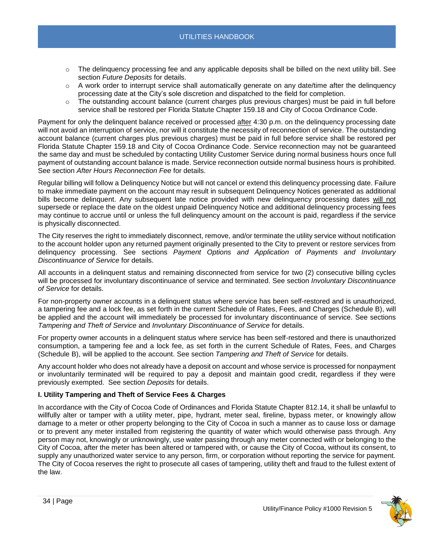- o The delinquency processing fee and any applicable deposits shall be billed on the next utility bill. See section *Future Deposits* for details.
- $\circ$  A work order to interrupt service shall automatically generate on any date/time after the delinguency processing date at the City's sole discretion and dispatched to the field for completion.
- $\circ$  The outstanding account balance (current charges plus previous charges) must be paid in full before service shall be restored per Florida Statute Chapter 159.18 and City of Cocoa Ordinance Code.

Payment for only the delinquent balance received or processed after 4:30 p.m. on the delinquency processing date will not avoid an interruption of service, nor will it constitute the necessity of reconnection of service. The outstanding account balance (current charges plus previous charges) must be paid in full before service shall be restored per Florida Statute Chapter 159.18 and City of Cocoa Ordinance Code. Service reconnection may not be guaranteed the same day and must be scheduled by contacting Utility Customer Service during normal business hours once full payment of outstanding account balance is made. Service reconnection outside normal business hours is prohibited. See section *After Hours Reconnection Fee* for details.

Regular billing will follow a Delinquency Notice but will not cancel or extend this delinquency processing date. Failure to make immediate payment on the account may result in subsequent Delinquency Notices generated as additional bills become delinquent. Any subsequent late notice provided with new delinquency processing dates will not supersede or replace the date on the oldest unpaid Delinquency Notice and additional delinquency processing fees may continue to accrue until or unless the full delinquency amount on the account is paid, regardless if the service is physically disconnected.

The City reserves the right to immediately disconnect, remove, and/or terminate the utility service without notification to the account holder upon any returned payment originally presented to the City to prevent or restore services from delinquency processing. See sections *Payment Options and Application of Payments and Involuntary Discontinuance of Service* for details.

All accounts in a delinquent status and remaining disconnected from service for two (2) consecutive billing cycles will be processed for involuntary discontinuance of service and terminated. See section *Involuntary Discontinuance of Service* for details.

For non-property owner accounts in a delinquent status where service has been self-restored and is unauthorized, a tampering fee and a lock fee, as set forth in the current Schedule of Rates, Fees, and Charges (Schedule B), will be applied and the account will immediately be processed for involuntary discontinuance of service. See sections *Tampering and Theft of Service* and *Involuntary Discontinuance of Service* for details.

For property owner accounts in a delinquent status where service has been self-restored and there is unauthorized consumption, a tampering fee and a lock fee, as set forth in the current Schedule of Rates, Fees, and Charges (Schedule B), will be applied to the account. See section *Tampering and Theft of Service* for details.

Any account holder who does not already have a deposit on account and whose service is processed for nonpayment or involuntarily terminated will be required to pay a deposit and maintain good credit, regardless if they were previously exempted. See section *Deposits* for details.

## <span id="page-33-0"></span>**I. Utility Tampering and Theft of Service Fees & Charges**

In accordance with the City of Cocoa Code of Ordinances and Florida Statute Chapter 812.14, it shall be unlawful to willfully alter or tamper with a utility meter, pipe, hydrant, meter seal, fireline, bypass meter, or knowingly allow damage to a meter or other property belonging to the City of Cocoa in such a manner as to cause loss or damage or to prevent any meter installed from registering the quantity of water which would otherwise pass through. Any person may not, knowingly or unknowingly, use water passing through any meter connected with or belonging to the City of Cocoa, after the meter has been altered or tampered with, or cause the City of Cocoa, without its consent, to supply any unauthorized water service to any person, firm, or corporation without reporting the service for payment. The City of Cocoa reserves the right to prosecute all cases of tampering, utility theft and fraud to the fullest extent of the law.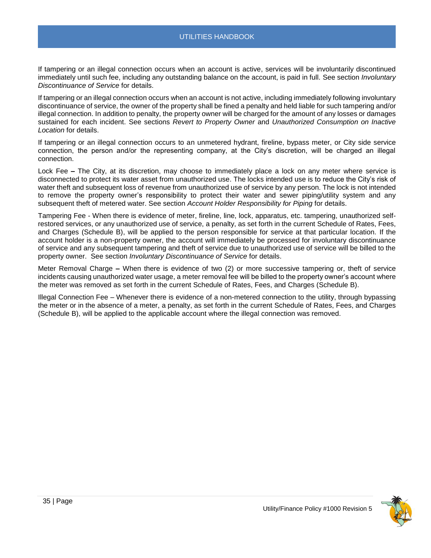If tampering or an illegal connection occurs when an account is active, services will be involuntarily discontinued immediately until such fee, including any outstanding balance on the account, is paid in full. See section *Involuntary Discontinuance of Service* for details.

If tampering or an illegal connection occurs when an account is not active, including immediately following involuntary discontinuance of service, the owner of the property shall be fined a penalty and held liable for such tampering and/or illegal connection. In addition to penalty, the property owner will be charged for the amount of any losses or damages sustained for each incident. See sections *Revert to Property Owner* and *Unauthorized Consumption on Inactive Location* for details.

If tampering or an illegal connection occurs to an unmetered hydrant, fireline, bypass meter, or City side service connection, the person and/or the representing company, at the City's discretion, will be charged an illegal connection.

<span id="page-34-0"></span>Lock Fee *–* The City, at its discretion, may choose to immediately place a lock on any meter where service is disconnected to protect its water asset from unauthorized use. The locks intended use is to reduce the City's risk of water theft and subsequent loss of revenue from unauthorized use of service by any person. The lock is not intended to remove the property owner's responsibility to protect their water and sewer piping/utility system and any subsequent theft of metered water. See section *Account Holder Responsibility for Piping* for details.

<span id="page-34-1"></span>Tampering Fee - When there is evidence of meter, fireline, line, lock, apparatus, etc. tampering, unauthorized selfrestored services, or any unauthorized use of service, a penalty, as set forth in the current Schedule of Rates, Fees, and Charges (Schedule B), will be applied to the person responsible for service at that particular location. If the account holder is a non-property owner, the account will immediately be processed for involuntary discontinuance of service and any subsequent tampering and theft of service due to unauthorized use of service will be billed to the property owner. See section *Involuntary Discontinuance of Service* for details.

<span id="page-34-2"></span>Meter Removal Charge *–* When there is evidence of two (2) or more successive tampering or, theft of service incidents causing unauthorized water usage, a meter removal fee will be billed to the property owner's account where the meter was removed as set forth in the current Schedule of Rates, Fees, and Charges (Schedule B).

<span id="page-34-3"></span>Illegal Connection Fee – Whenever there is evidence of a non-metered connection to the utility, through bypassing the meter or in the absence of a meter, a penalty, as set forth in the current Schedule of Rates, Fees, and Charges (Schedule B), will be applied to the applicable account where the illegal connection was removed.

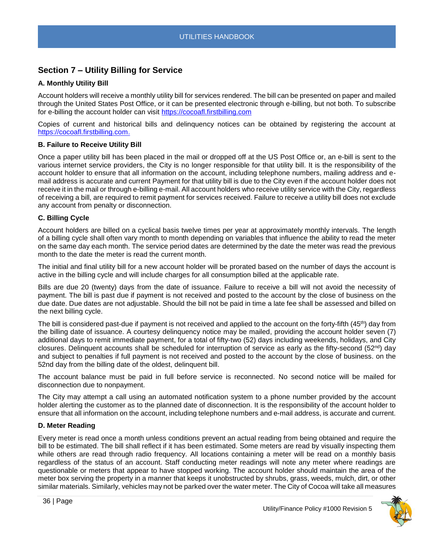## <span id="page-35-0"></span>**Section 7 – Utility Billing for Service**

## <span id="page-35-1"></span>**A. Monthly Utility Bill**

Account holders will receive a monthly utility bill for services rendered. The bill can be presented on paper and mailed through the United States Post Office, or it can be presented electronic through e-billing, but not both. To subscribe for e-billing the account holder can visit [https://cocoafl.firstbilling.com](https://cocoafl.firstbilling.com/)

Copies of current and historical bills and delinquency notices can be obtained by registering the account at [https://cocoafl.firstbilling.com.](https://cocoafl.firstbilling.com/)

## <span id="page-35-2"></span>**B. Failure to Receive Utility Bill**

Once a paper utility bill has been placed in the mail or dropped off at the US Post Office or, an e-bill is sent to the various internet service providers, the City is no longer responsible for that utility bill. It is the responsibility of the account holder to ensure that all information on the account, including telephone numbers, mailing address and email address is accurate and current Payment for that utility bill is due to the City even if the account holder does not receive it in the mail or through e-billing e-mail. All account holders who receive utility service with the City, regardless of receiving a bill, are required to remit payment for services received. Failure to receive a utility bill does not exclude any account from penalty or disconnection.

## <span id="page-35-3"></span>**C. Billing Cycle**

Account holders are billed on a cyclical basis twelve times per year at approximately monthly intervals. The length of a billing cycle shall often vary month to month depending on variables that influence the ability to read the meter on the same day each month. The service period dates are determined by the date the meter was read the previous month to the date the meter is read the current month.

The initial and final utility bill for a new account holder will be prorated based on the number of days the account is active in the billing cycle and will include charges for all consumption billed at the applicable rate.

Bills are due 20 (twenty) days from the date of issuance. Failure to receive a bill will not avoid the necessity of payment. The bill is past due if payment is not received and posted to the account by the close of business on the due date. Due dates are not adjustable. Should the bill not be paid in time a late fee shall be assessed and billed on the next billing cycle.

The bill is considered past-due if payment is not received and applied to the account on the forty-fifth (45<sup>th</sup>) day from the billing date of issuance. A courtesy delinquency notice may be mailed, providing the account holder seven (7) additional days to remit immediate payment, for a total of fifty-two (52) days including weekends, holidays, and City closures. Delinquent accounts shall be scheduled for interruption of service as early as the fifty-second (52<sup>nd</sup>) day and subject to penalties if full payment is not received and posted to the account by the close of business. on the 52nd day from the billing date of the oldest, delinquent bill.

The account balance must be paid in full before service is reconnected. No second notice will be mailed for disconnection due to nonpayment.

The City may attempt a call using an automated notification system to a phone number provided by the account holder alerting the customer as to the planned date of disconnection. It is the responsibility of the account holder to ensure that all information on the account, including telephone numbers and e-mail address, is accurate and current.

## <span id="page-35-4"></span>**D. Meter Reading**

Every meter is read once a month unless conditions prevent an actual reading from being obtained and require the bill to be estimated. The bill shall reflect if it has been estimated. Some meters are read by visually inspecting them while others are read through radio frequency. All locations containing a meter will be read on a monthly basis regardless of the status of an account. Staff conducting meter readings will note any meter where readings are questionable or meters that appear to have stopped working. The account holder should maintain the area of the meter box serving the property in a manner that keeps it unobstructed by shrubs, grass, weeds, mulch, dirt, or other similar materials. Similarly, vehicles may not be parked over the water meter. The City of Cocoa will take all measures

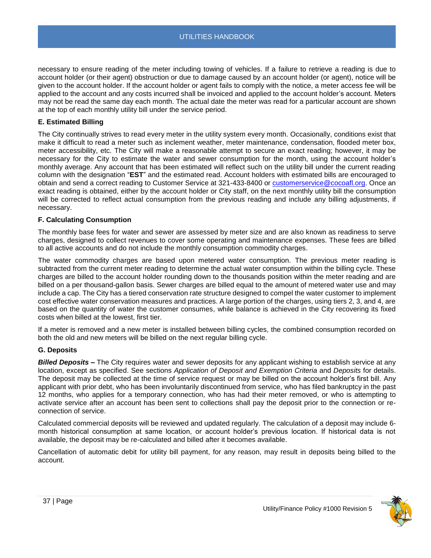necessary to ensure reading of the meter including towing of vehicles. If a failure to retrieve a reading is due to account holder (or their agent) obstruction or due to damage caused by an account holder (or agent), notice will be given to the account holder. If the account holder or agent fails to comply with the notice, a meter access fee will be applied to the account and any costs incurred shall be invoiced and applied to the account holder's account. Meters may not be read the same day each month. The actual date the meter was read for a particular account are shown at the top of each monthly utility bill under the service period.

## <span id="page-36-0"></span>**E. Estimated Billing**

The City continually strives to read every meter in the utility system every month. Occasionally, conditions exist that make it difficult to read a meter such as inclement weather, meter maintenance, condensation, flooded meter box, meter accessibility, etc. The City will make a reasonable attempt to secure an exact reading; however, it may be necessary for the City to estimate the water and sewer consumption for the month, using the account holder's monthly average. Any account that has been estimated will reflect such on the utility bill under the current reading column with the designation "**EST**" and the estimated read. Account holders with estimated bills are encouraged to obtain and send a correct reading to Customer Service at 321-433-8400 or [customerservice@cocoafl.org.](mailto:customerservice@cocoafl.org) Once an exact reading is obtained, either by the account holder or City staff, on the next monthly utility bill the consumption will be corrected to reflect actual consumption from the previous reading and include any billing adjustments, if necessary.

#### <span id="page-36-1"></span>**F. Calculating Consumption**

The monthly base fees for water and sewer are assessed by meter size and are also known as readiness to serve charges, designed to collect revenues to cover some operating and maintenance expenses. These fees are billed to all active accounts and do not include the monthly consumption commodity charges.

The water commodity charges are based upon metered water consumption. The previous meter reading is subtracted from the current meter reading to determine the actual water consumption within the billing cycle. These charges are billed to the account holder rounding down to the thousands position within the meter reading and are billed on a per thousand-gallon basis. Sewer charges are billed equal to the amount of metered water use and may include a cap. The City has a tiered conservation rate structure designed to compel the water customer to implement cost effective water conservation measures and practices. A large portion of the charges, using tiers 2, 3, and 4, are based on the quantity of water the customer consumes, while balance is achieved in the City recovering its fixed costs when billed at the lowest, first tier.

If a meter is removed and a new meter is installed between billing cycles, the combined consumption recorded on both the old and new meters will be billed on the next regular billing cycle.

## <span id="page-36-2"></span>**G. Deposits**

<span id="page-36-3"></span>*Billed Deposits* **–** The City requires water and sewer deposits for any applicant wishing to establish service at any location, except as specified. See sections *Application of Deposit and Exemption Criteria* and *Deposits* for details. The deposit may be collected at the time of service request or may be billed on the account holder's first bill. Any applicant with prior debt, who has been involuntarily discontinued from service, who has filed bankruptcy in the past 12 months, who applies for a temporary connection, who has had their meter removed, or who is attempting to activate service after an account has been sent to collections shall pay the deposit prior to the connection or reconnection of service.

Calculated commercial deposits will be reviewed and updated regularly. The calculation of a deposit may include 6 month historical consumption at same location, or account holder's previous location. If historical data is not available, the deposit may be re-calculated and billed after it becomes available.

Cancellation of automatic debit for utility bill payment, for any reason, may result in deposits being billed to the account.

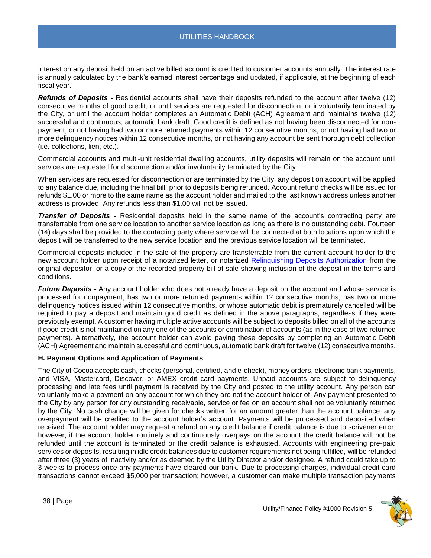Interest on any deposit held on an active billed account is credited to customer accounts annually. The interest rate is annually calculated by the bank's earned interest percentage and updated, if applicable, at the beginning of each fiscal year.

<span id="page-37-0"></span>*Refunds of Deposits* **-** Residential accounts shall have their deposits refunded to the account after twelve (12) consecutive months of good credit, or until services are requested for disconnection, or involuntarily terminated by the City, or until the account holder completes an Automatic Debit (ACH) Agreement and maintains twelve (12) successful and continuous, automatic bank draft. Good credit is defined as not having been disconnected for nonpayment, or not having had two or more returned payments within 12 consecutive months, or not having had two or more delinquency notices within 12 consecutive months, or not having any account be sent thorough debt collection (i.e. collections, lien, etc.).

Commercial accounts and multi-unit residential dwelling accounts, utility deposits will remain on the account until services are requested for disconnection and/or involuntarily terminated by the City.

When services are requested for disconnection or are terminated by the City, any deposit on account will be applied to any balance due, including the final bill, prior to deposits being refunded. Account refund checks will be issued for refunds \$1.00 or more to the same name as the account holder and mailed to the last known address unless another address is provided. Any refunds less than \$1.00 will not be issued.

<span id="page-37-1"></span>*Transfer of Deposits* **-** Residential deposits held in the same name of the account's contracting party are transferrable from one service location to another service location as long as there is no outstanding debt. Fourteen (14) days shall be provided to the contacting party where service will be connected at both locations upon which the deposit will be transferred to the new service location and the previous service location will be terminated.

Commercial deposits included in the sale of the property are transferrable from the current account holder to the new account holder upon receipt of a notarized letter, or notarized [Relinquishing Deposits](file://///chv-file03/dept$/City%20Manager/PR/ADA%20Accessibility%20Docs/TO%20DO%20-%20Make%20Accessible/a) Authorization from the original depositor, or a copy of the recorded property bill of sale showing inclusion of the deposit in the terms and conditions.

<span id="page-37-2"></span>*Future Deposits* **-** Any account holder who does not already have a deposit on the account and whose service is processed for nonpayment, has two or more returned payments within 12 consecutive months, has two or more delinquency notices issued within 12 consecutive months, or whose automatic debit is prematurely cancelled will be required to pay a deposit and maintain good credit as defined in the above paragraphs, regardless if they were previously exempt. A customer having multiple active accounts will be subject to deposits billed on all of the accounts if good credit is not maintained on any one of the accounts or combination of accounts (as in the case of two returned payments). Alternatively, the account holder can avoid paying these deposits by completing an Automatic Debit (ACH) Agreement and maintain successful and continuous, automatic bank draft for twelve (12) consecutive months.

## <span id="page-37-3"></span>**H. Payment Options and Application of Payments**

The City of Cocoa accepts cash, checks (personal, certified, and e-check), money orders, electronic bank payments, and VISA, Mastercard, Discover, or AMEX credit card payments. Unpaid accounts are subject to delinquency processing and late fees until payment is received by the City and posted to the utility account. Any person can voluntarily make a payment on any account for which they are not the account holder of. Any payment presented to the City by any person for any outstanding receivable, service or fee on an account shall not be voluntarily returned by the City. No cash change will be given for checks written for an amount greater than the account balance; any overpayment will be credited to the account holder's account. Payments will be processed and deposited when received. The account holder may request a refund on any credit balance if credit balance is due to scrivener error; however, if the account holder routinely and continuously overpays on the account the credit balance will not be refunded until the account is terminated or the credit balance is exhausted. Accounts with engineering pre-paid services or deposits, resulting in idle credit balances due to customer requirements not being fulfilled, will be refunded after three (3) years of inactivity and/or as deemed by the Utility Director and/or designee. A refund could take up to 3 weeks to process once any payments have cleared our bank. Due to processing charges, individual credit card transactions cannot exceed \$5,000 per transaction; however, a customer can make multiple transaction payments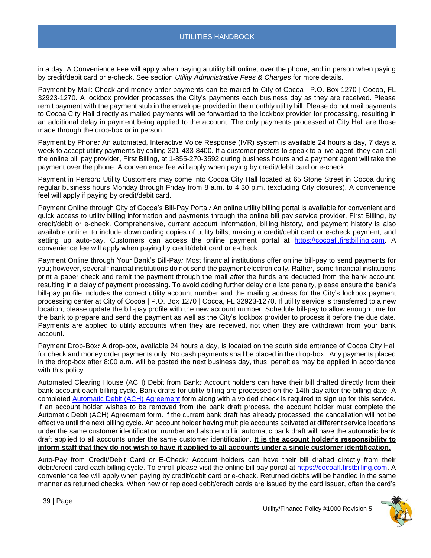in a day. A Convenience Fee will apply when paying a utility bill online, over the phone, and in person when paying by credit/debit card or e-check. See section *Utility Administrative Fees & Charges* for more details.

<span id="page-38-0"></span>Payment by Mail: Check and money order payments can be mailed to City of Cocoa | P.O. Box 1270 | Cocoa, FL 32923-1270. A lockbox provider processes the City's payments each business day as they are received. Please remit payment with the payment stub in the envelope provided in the monthly utility bill. Please do not mail payments to Cocoa City Hall directly as mailed payments will be forwarded to the lockbox provider for processing, resulting in an additional delay in payment being applied to the account. The only payments processed at City Hall are those made through the drop-box or in person.

<span id="page-38-1"></span>Payment by Phone*:* An automated, Interactive Voice Response (IVR) system is available 24 hours a day, 7 days a week to accept utility payments by calling 321-433-8400. If a customer prefers to speak to a live agent, they can call the online bill pay provider, First Billing, at 1-855-270-3592 during business hours and a payment agent will take the payment over the phone. A convenience fee will apply when paying by credit/debit card or e-check.

<span id="page-38-2"></span>Payment in Person*:* Utility Customers may come into Cocoa City Hall located at 65 Stone Street in Cocoa during regular business hours Monday through Friday from 8 a.m. to 4:30 p.m. (excluding City closures). A convenience feel will apply if paying by credit/debit card.

<span id="page-38-3"></span>Payment Online through City of Cocoa's Bill-Pay Portal*:* An online utility billing portal is available for convenient and quick access to utility billing information and payments through the online bill pay service provider, First Billing, by credit/debit or e-check. Comprehensive, current account information, billing history, and payment history is also available online, to include downloading copies of utility bills, making a credit/debit card or e-check payment, and setting up auto-pay. Customers can access the online payment portal at [https://cocoafl.firstbilling.com.](https://cocoafl.firstbilling.com/) A convenience fee will apply when paying by credit/debit card or e-check.

<span id="page-38-4"></span>Payment Online through Your Bank's Bill-Pay*:* Most financial institutions offer online bill-pay to send payments for you; however, several financial institutions do not send the payment electronically. Rather, some financial institutions print a paper check and remit the payment through the mail *after* the funds are deducted from the bank account, resulting in a delay of payment processing. To avoid adding further delay or a late penalty, please ensure the bank's bill-pay profile includes the correct utility account number and the mailing address for the City's lockbox payment processing center at City of Cocoa | P.O. Box 1270 | Cocoa, FL 32923-1270. If utility service is transferred to a new location, please update the bill-pay profile with the new account number. Schedule bill-pay to allow enough time for the bank to prepare and send the payment as well as the City's lockbox provider to process it before the due date. Payments are applied to utility accounts when they are received, not when they are withdrawn from your bank account.

<span id="page-38-5"></span>Payment Drop-Box*:* A drop-box, available 24 hours a day, is located on the south side entrance of Cocoa City Hall for check and money order payments only. No cash payments shall be placed in the drop-box. Any payments placed in the drop-box after 8:00 a.m. will be posted the next business day, thus, penalties may be applied in accordance with this policy.

<span id="page-38-6"></span>Automated Clearing House (ACH) Debit from Bank*:* Account holders can have their bill drafted directly from their bank account each billing cycle. Bank drafts for utility billing are processed on the 14th day after the billing date. A completed [Automatic Debit \(ACH\) Agreement](https://www.cocoafl.org/DocumentCenter/View/5930/Automatic-Debits-ACH-Agreement) form along with a voided check is required to sign up for this service. If an account holder wishes to be removed from the bank draft process, the account holder must complete the Automatic Debit (ACH) Agreement form. If the current bank draft has already processed, the cancellation will not be effective until the next billing cycle. An account holder having multiple accounts activated at different service locations under the same customer identification number and also enroll in automatic bank draft will have the automatic bank draft applied to all accounts under the same customer identification. **It is the account holder's responsibility to inform staff that they do not wish to have it applied to all accounts under a single customer identification.**

<span id="page-38-7"></span>Auto-Pay from Credit/Debit Card or E-Check*:* Account holders can have their bill drafted directly from their debit/credit card each billing cycle. To enroll please visit the online bill pay portal at [https://cocoafl.firstbilling.com.](https://cocoafl.firstbilling.com/) A convenience fee will apply when paying by credit/debit card or e-check. Returned debits will be handled in the same manner as returned checks. When new or replaced debit/credit cards are issued by the card issuer, often the card's

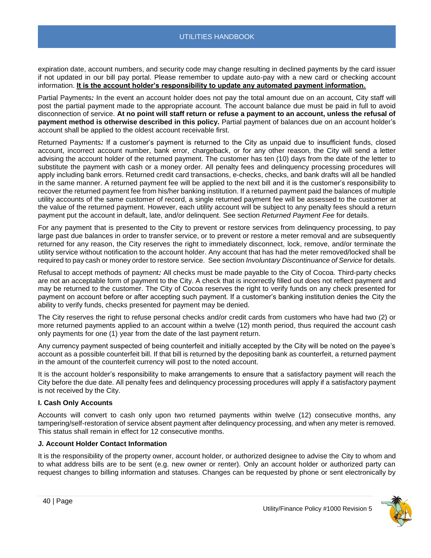expiration date, account numbers, and security code may change resulting in declined payments by the card issuer if not updated in our bill pay portal. Please remember to update auto-pay with a new card or checking account information. **It is the account holder's responsibility to update any automated payment information.**

<span id="page-39-0"></span>Partial Payments*:* In the event an account holder does not pay the total amount due on an account, City staff will post the partial payment made to the appropriate account. The account balance due must be paid in full to avoid disconnection of service. **At no point will staff return or refuse a payment to an account, unless the refusal of payment method is otherwise described in this policy.** Partial payment of balances due on an account holder's account shall be applied to the oldest account receivable first.

<span id="page-39-1"></span>Returned Payments*:* If a customer's payment is returned to the City as unpaid due to insufficient funds, closed account, incorrect account number, bank error, chargeback, or for any other reason, the City will send a letter advising the account holder of the returned payment. The customer has ten (10) days from the date of the letter to substitute the payment with cash or a money order. All penalty fees and delinquency processing procedures will apply including bank errors. Returned credit card transactions, e-checks, checks, and bank drafts will all be handled in the same manner. A returned payment fee will be applied to the next bill and it is the customer's responsibility to recover the returned payment fee from his/her banking institution. If a returned payment paid the balances of multiple utility accounts of the same customer of record, a single returned payment fee will be assessed to the customer at the value of the returned payment. However, each utility account will be subject to any penalty fees should a return payment put the account in default, late, and/or delinquent. See section *Returned Payment Fee* for details.

For any payment that is presented to the City to prevent or restore services from delinquency processing, to pay large past due balances in order to transfer service, or to prevent or restore a meter removal and are subsequently returned for any reason, the City reserves the right to immediately disconnect, lock, remove, and/or terminate the utility service without notification to the account holder. Any account that has had the meter removed/locked shall be required to pay cash or money order to restore service. See section *Involuntary Discontinuance of Service* for details.

<span id="page-39-2"></span>Refusal to accept methods of payment*:* All checks must be made payable to the City of Cocoa. Third-party checks are not an acceptable form of payment to the City. A check that is incorrectly filled out does not reflect payment and may be returned to the customer. The City of Cocoa reserves the right to verify funds on any check presented for payment on account before or after accepting such payment. If a customer's banking institution denies the City the ability to verify funds, checks presented for payment may be denied.

The City reserves the right to refuse personal checks and/or credit cards from customers who have had two (2) or more returned payments applied to an account within a twelve (12) month period, thus required the account cash only payments for one (1) year from the date of the last payment return.

Any currency payment suspected of being counterfeit and initially accepted by the City will be noted on the payee's account as a possible counterfeit bill. If that bill is returned by the depositing bank as counterfeit, a returned payment in the amount of the counterfeit currency will post to the noted account.

It is the account holder's responsibility to make arrangements to ensure that a satisfactory payment will reach the City before the due date. All penalty fees and delinquency processing procedures will apply if a satisfactory payment is not received by the City.

## <span id="page-39-3"></span>**I. Cash Only Accounts**

Accounts will convert to cash only upon two returned payments within twelve (12) consecutive months, any tampering/self-restoration of service absent payment after delinquency processing, and when any meter is removed. This status shall remain in effect for 12 consecutive months.

#### <span id="page-39-4"></span>**J. Account Holder Contact Information**

It is the responsibility of the property owner, account holder, or authorized designee to advise the City to whom and to what address bills are to be sent (e.g. new owner or renter). Only an account holder or authorized party can request changes to billing information and statuses. Changes can be requested by phone or sent electronically by

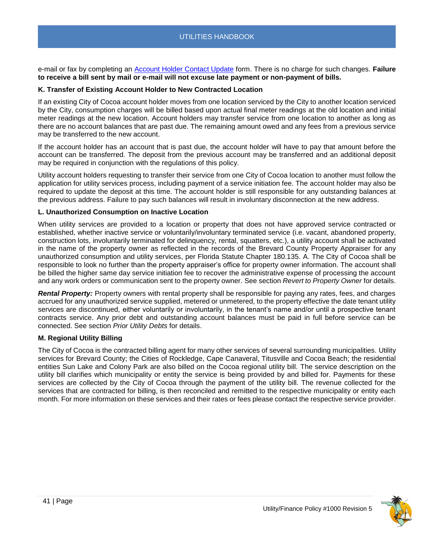e-mail or fax by completing an [Account Holder Contact Update](file://///chv-file03/dept$/City%20Manager/PR/ADA%20Accessibility%20Docs/TO%20DO%20-%20Make%20Accessible/a) form. There is no charge for such changes. **Failure to receive a bill sent by mail or e-mail will not excuse late payment or non-payment of bills.**

## <span id="page-40-0"></span>**K. Transfer of Existing Account Holder to New Contracted Location**

If an existing City of Cocoa account holder moves from one location serviced by the City to another location serviced by the City, consumption charges will be billed based upon actual final meter readings at the old location and initial meter readings at the new location. Account holders may transfer service from one location to another as long as there are no account balances that are past due. The remaining amount owed and any fees from a previous service may be transferred to the new account.

If the account holder has an account that is past due, the account holder will have to pay that amount before the account can be transferred. The deposit from the previous account may be transferred and an additional deposit may be required in conjunction with the regulations of this policy.

Utility account holders requesting to transfer their service from one City of Cocoa location to another must follow the application for utility services process, including payment of a service initiation fee. The account holder may also be required to update the deposit at this time. The account holder is still responsible for any outstanding balances at the previous address. Failure to pay such balances will result in involuntary disconnection at the new address.

#### <span id="page-40-1"></span>**L. Unauthorized Consumption on Inactive Location**

When utility services are provided to a location or property that does not have approved service contracted or established, whether inactive service or voluntarily/involuntary terminated service (i.e. vacant, abandoned property, construction lots, involuntarily terminated for delinquency, rental, squatters, etc.), a utility account shall be activated in the name of the property owner as reflected in the records of the Brevard County Property Appraiser for any unauthorized consumption and utility services, per Florida Statute Chapter 180.135. A. The City of Cocoa shall be responsible to look no further than the property appraiser's office for property owner information. The account shall be billed the higher same day service initiation fee to recover the administrative expense of processing the account and any work orders or communication sent to the property owner. See section *Revert to Property Owner* for details.

*Rental Property:* Property owners with rental property shall be responsible for paying any rates, fees, and charges accrued for any unauthorized service supplied, metered or unmetered, to the property effective the date tenant utility services are discontinued, either voluntarily or involuntarily, in the tenant's name and/or until a prospective tenant contracts service. Any prior debt and outstanding account balances must be paid in full before service can be connected. See section *Prior Utility Debts* for details.

## <span id="page-40-2"></span>**M. Regional Utility Billing**

The City of Cocoa is the contracted billing agent for many other services of several surrounding municipalities. Utility services for Brevard County; the Cities of Rockledge, Cape Canaveral, Titusville and Cocoa Beach; the residential entities Sun Lake and Colony Park are also billed on the Cocoa regional utility bill. The service description on the utility bill clarifies which municipality or entity the service is being provided by and billed for. Payments for these services are collected by the City of Cocoa through the payment of the utility bill. The revenue collected for the services that are contracted for billing, is then reconciled and remitted to the respective municipality or entity each month. For more information on these services and their rates or fees please contact the respective service provider.

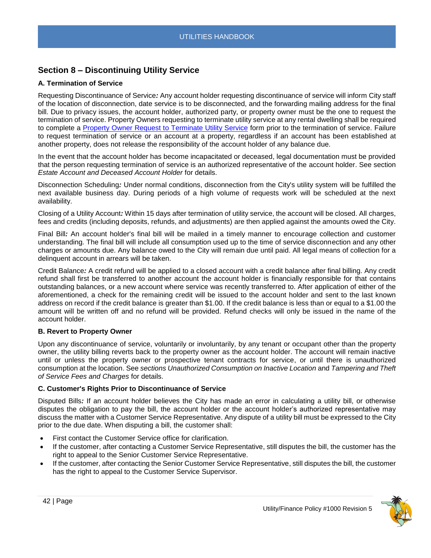## <span id="page-41-0"></span>**Section 8 – Discontinuing Utility Service**

## <span id="page-41-1"></span>**A. Termination of Service**

<span id="page-41-2"></span>Requesting Discontinuance of Service*:* Any account holder requesting discontinuance of service will inform City staff of the location of disconnection, date service is to be disconnected, and the forwarding mailing address for the final bill. Due to privacy issues, the account holder, authorized party, or property owner must be the one to request the termination of service. Property Owners requesting to terminate utility service at any rental dwelling shall be required to complete a [Property Owner Request to Terminate Utility Service](file://///chv-file03/dept$/City%20Manager/PR/ADA%20Accessibility%20Docs/TO%20DO%20-%20Make%20Accessible/a) form prior to the termination of service. Failure to request termination of service or an account at a property, regardless if an account has been established at another property, does not release the responsibility of the account holder of any balance due.

In the event that the account holder has become incapacitated or deceased, legal documentation must be provided that the person requesting termination of service is an authorized representative of the account holder. See section *Estate Account and Deceased Account Holder* for details.

<span id="page-41-3"></span>Disconnection Scheduling*:* Under normal conditions, disconnection from the City's utility system will be fulfilled the next available business day. During periods of a high volume of requests work will be scheduled at the next availability.

<span id="page-41-4"></span>Closing of a Utility Account*:* Within 15 days after termination of utility service, the account will be closed. All charges, fees and credits (including deposits, refunds, and adjustments) are then applied against the amounts owed the City.

<span id="page-41-5"></span>Final Bill*:* An account holder's final bill will be mailed in a timely manner to encourage collection and customer understanding. The final bill will include all consumption used up to the time of service disconnection and any other charges or amounts due. Any balance owed to the City will remain due until paid. All legal means of collection for a delinquent account in arrears will be taken.

<span id="page-41-6"></span>Credit Balance*:* A credit refund will be applied to a closed account with a credit balance after final billing. Any credit refund shall first be transferred to another account the account holder is financially responsible for that contains outstanding balances, or a new account where service was recently transferred to. After application of either of the aforementioned, a check for the remaining credit will be issued to the account holder and sent to the last known address on record if the credit balance is greater than \$1.00. If the credit balance is less than or equal to a \$1.00 the amount will be written off and no refund will be provided. Refund checks will only be issued in the name of the account holder.

## <span id="page-41-7"></span>**B. Revert to Property Owner**

Upon any discontinuance of service, voluntarily or involuntarily, by any tenant or occupant other than the property owner, the utility billing reverts back to the property owner as the account holder. The account will remain inactive until or unless the property owner or prospective tenant contracts for service, or until there is unauthorized consumption at the location. See *sections Unauthorized Consumption on Inactive Location* and *Tampering and Theft of Service Fees and Charges* for details.

## <span id="page-41-8"></span>**C. Customer's Rights Prior to Discontinuance of Service**

<span id="page-41-9"></span>Disputed Bills*:* If an account holder believes the City has made an error in calculating a utility bill, or otherwise disputes the obligation to pay the bill, the account holder or the account holder's authorized representative may discuss the matter with a Customer Service Representative. Any dispute of a utility bill must be expressed to the City prior to the due date. When disputing a bill, the customer shall:

- First contact the Customer Service office for clarification.
- If the customer, after contacting a Customer Service Representative, still disputes the bill, the customer has the right to appeal to the Senior Customer Service Representative.
- If the customer, after contacting the Senior Customer Service Representative, still disputes the bill, the customer has the right to appeal to the Customer Service Supervisor.

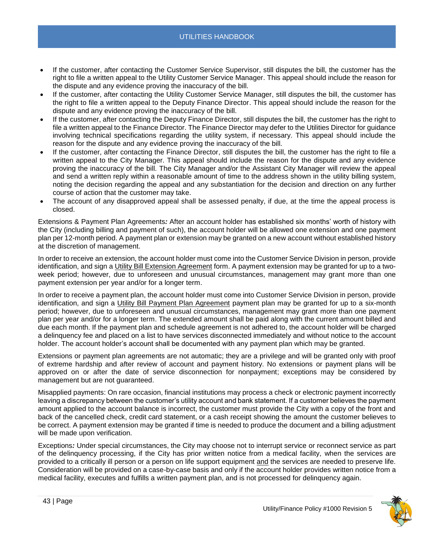- If the customer, after contacting the Customer Service Supervisor, still disputes the bill, the customer has the right to file a written appeal to the Utility Customer Service Manager. This appeal should include the reason for the dispute and any evidence proving the inaccuracy of the bill.
- If the customer, after contacting the Utility Customer Service Manager, still disputes the bill, the customer has the right to file a written appeal to the Deputy Finance Director. This appeal should include the reason for the dispute and any evidence proving the inaccuracy of the bill.
- If the customer, after contacting the Deputy Finance Director, still disputes the bill, the customer has the right to file a written appeal to the Finance Director. The Finance Director may defer to the Utilities Director for guidance involving technical specifications regarding the utility system, if necessary. This appeal should include the reason for the dispute and any evidence proving the inaccuracy of the bill.
- If the customer, after contacting the Finance Director, still disputes the bill, the customer has the right to file a written appeal to the City Manager. This appeal should include the reason for the dispute and any evidence proving the inaccuracy of the bill. The City Manager and/or the Assistant City Manager will review the appeal and send a written reply within a reasonable amount of time to the address shown in the utility billing system, noting the decision regarding the appeal and any substantiation for the decision and direction on any further course of action that the customer may take.
- The account of any disapproved appeal shall be assessed penalty, if due, at the time the appeal process is closed.

<span id="page-42-0"></span>Extensions & Payment Plan Agreements*:* After an account holder has established six months' worth of history with the City (including billing and payment of such), the account holder will be allowed one extension and one payment plan per 12-month period. A payment plan or extension may be granted on a new account without established history at the discretion of management.

In order to receive an extension, the account holder must come into the Customer Service Division in person, provide identification, and sign a Utility Bill Extension Agreement form. A payment extension may be granted for up to a twoweek period; however, due to unforeseen and unusual circumstances, management may grant more than one payment extension per year and/or for a longer term.

In order to receive a payment plan, the account holder must come into Customer Service Division in person, provide identification, and sign a Utility Bill Payment Plan Agreement payment plan may be granted for up to a six-month period; however, due to unforeseen and unusual circumstances, management may grant more than one payment plan per year and/or for a longer term. The extended amount shall be paid along with the current amount billed and due each month. If the payment plan and schedule agreement is not adhered to, the account holder will be charged a delinquency fee and placed on a list to have services disconnected immediately and without notice to the account holder. The account holder's account shall be documented with any payment plan which may be granted.

Extensions or payment plan agreements are not automatic; they are a privilege and will be granted only with proof of extreme hardship and after review of account and payment history. No extensions or payment plans will be approved on or after the date of service disconnection for nonpayment; exceptions may be considered by management but are not guaranteed.

<span id="page-42-1"></span>Misapplied payments: On rare occasion, financial institutions may process a check or electronic payment incorrectly leaving a discrepancy between the customer's utility account and bank statement. If a customer believes the payment amount applied to the account balance is incorrect, the customer must provide the City with a copy of the front and back of the cancelled check, credit card statement, or a cash receipt showing the amount the customer believes to be correct. A payment extension may be granted if time is needed to produce the document and a billing adjustment will be made upon verification.

<span id="page-42-2"></span>Exceptions*:* Under special circumstances, the City may choose not to interrupt service or reconnect service as part of the delinquency processing, if the City has prior written notice from a medical facility, when the services are provided to a critically ill person or a person on life support equipment and the services are needed to preserve life. Consideration will be provided on a case-by-case basis and only if the account holder provides written notice from a medical facility, executes and fulfills a written payment plan, and is not processed for delinquency again.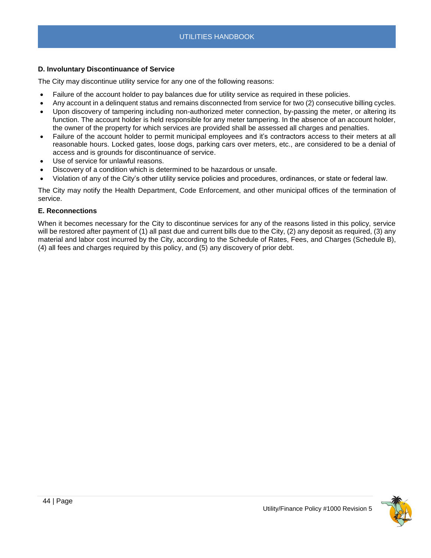## <span id="page-43-0"></span>**D. Involuntary Discontinuance of Service**

The City may discontinue utility service for any one of the following reasons:

- Failure of the account holder to pay balances due for utility service as required in these policies.
- Any account in a delinquent status and remains disconnected from service for two (2) consecutive billing cycles.
- Upon discovery of tampering including non-authorized meter connection, by-passing the meter, or altering its function. The account holder is held responsible for any meter tampering. In the absence of an account holder, the owner of the property for which services are provided shall be assessed all charges and penalties.
- Failure of the account holder to permit municipal employees and it's contractors access to their meters at all reasonable hours. Locked gates, loose dogs, parking cars over meters, etc., are considered to be a denial of access and is grounds for discontinuance of service.
- Use of service for unlawful reasons.
- Discovery of a condition which is determined to be hazardous or unsafe.
- Violation of any of the City's other utility service policies and procedures, ordinances, or state or federal law.

The City may notify the Health Department, Code Enforcement, and other municipal offices of the termination of service.

## <span id="page-43-1"></span>**E. Reconnections**

When it becomes necessary for the City to discontinue services for any of the reasons listed in this policy, service will be restored after payment of (1) all past due and current bills due to the City, (2) any deposit as required, (3) any material and labor cost incurred by the City, according to the Schedule of Rates, Fees, and Charges (Schedule B), (4) all fees and charges required by this policy, and (5) any discovery of prior debt.

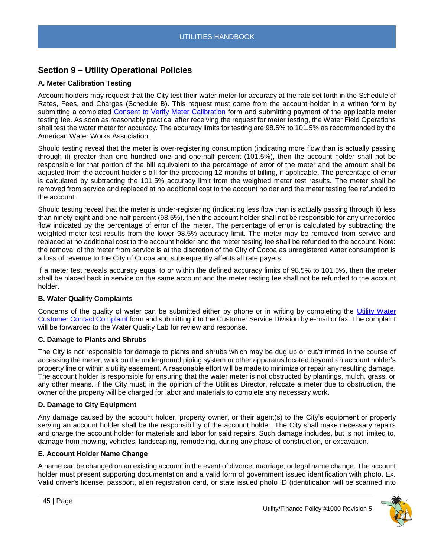## <span id="page-44-0"></span>**Section 9 – Utility Operational Policies**

## <span id="page-44-1"></span>**A. Meter Calibration Testing**

Account holders may request that the City test their water meter for accuracy at the rate set forth in the Schedule of Rates, Fees, and Charges (Schedule B). This request must come from the account holder in a written form by submitting a completed [Consent to Verify Meter Calibration](file://///chv-file03/dept$/City%20Manager/PR/ADA%20Accessibility%20Docs/TO%20DO%20-%20Make%20Accessible/a) form and submitting payment of the applicable meter testing fee. As soon as reasonably practical after receiving the request for meter testing, the Water Field Operations shall test the water meter for accuracy. The accuracy limits for testing are 98.5% to 101.5% as recommended by the American Water Works Association.

Should testing reveal that the meter is over-registering consumption (indicating more flow than is actually passing through it) greater than one hundred one and one-half percent (101.5%), then the account holder shall not be responsible for that portion of the bill equivalent to the percentage of error of the meter and the amount shall be adjusted from the account holder's bill for the preceding 12 months of billing, if applicable. The percentage of error is calculated by subtracting the 101.5% accuracy limit from the weighted meter test results. The meter shall be removed from service and replaced at no additional cost to the account holder and the meter testing fee refunded to the account.

Should testing reveal that the meter is under-registering (indicating less flow than is actually passing through it) less than ninety-eight and one-half percent (98.5%), then the account holder shall not be responsible for any unrecorded flow indicated by the percentage of error of the meter. The percentage of error is calculated by subtracting the weighted meter test results from the lower 98.5% accuracy limit. The meter may be removed from service and replaced at no additional cost to the account holder and the meter testing fee shall be refunded to the account. Note: the removal of the meter from service is at the discretion of the City of Cocoa as unregistered water consumption is a loss of revenue to the City of Cocoa and subsequently affects all rate payers.

If a meter test reveals accuracy equal to or within the defined accuracy limits of 98.5% to 101.5%, then the meter shall be placed back in service on the same account and the meter testing fee shall not be refunded to the account holder.

## <span id="page-44-2"></span>**B. Water Quality Complaints**

Concerns of the quality of water can be submitted either by phone or in writing by completing the [Utility Water](file://///chv-file03/dept$/City%20Manager/PR/ADA%20Accessibility%20Docs/TO%20DO%20-%20Make%20Accessible/a)  [Customer Contact Complaint](file://///chv-file03/dept$/City%20Manager/PR/ADA%20Accessibility%20Docs/TO%20DO%20-%20Make%20Accessible/a) form and submitting it to the Customer Service Division by e-mail or fax. The complaint will be forwarded to the Water Quality Lab for review and response.

## <span id="page-44-3"></span>**C. Damage to Plants and Shrubs**

The City is not responsible for damage to plants and shrubs which may be dug up or cut/trimmed in the course of accessing the meter, work on the underground piping system or other apparatus located beyond an account holder's property line or within a utility easement. A reasonable effort will be made to minimize or repair any resulting damage. The account holder is responsible for ensuring that the water meter is not obstructed by plantings, mulch, grass, or any other means. If the City must, in the opinion of the Utilities Director, relocate a meter due to obstruction, the owner of the property will be charged for labor and materials to complete any necessary work.

## <span id="page-44-4"></span>**D. Damage to City Equipment**

Any damage caused by the account holder, property owner, or their agent(s) to the City's equipment or property serving an account holder shall be the responsibility of the account holder. The City shall make necessary repairs and charge the account holder for materials and labor for said repairs. Such damage includes, but is not limited to, damage from mowing, vehicles, landscaping, remodeling, during any phase of construction, or excavation.

## <span id="page-44-5"></span>**E. Account Holder Name Change**

A name can be changed on an existing account in the event of divorce, marriage, or legal name change. The account holder must present supporting documentation and a valid form of government issued identification with photo. Ex. Valid driver's license, passport, alien registration card, or state issued photo ID (identification will be scanned into

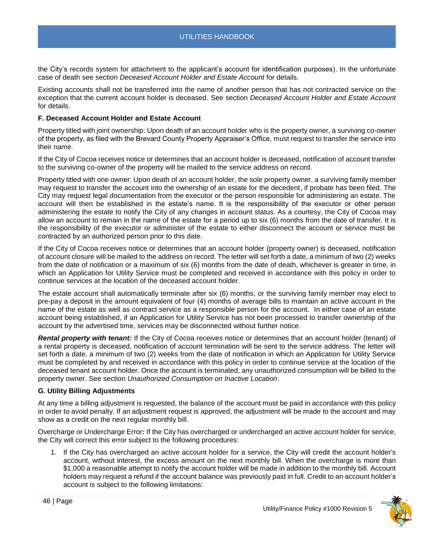the City's records system for attachment to the applicant's account for identification purposes). In the unfortunate case of death see section *Deceased Account Holder and Estate Account* for details.

Existing accounts shall not be transferred into the name of another person that has not contracted service on the exception that the current account holder is deceased. See section *Deceased Account Holder and Estate Account* for details.

## <span id="page-45-0"></span>**F. Deceased Account Holder and Estate Account**

<span id="page-45-1"></span>Property titled with joint ownership: Upon death of an account holder who is the property owner, a surviving co-owner of the property, as filed with the Brevard County Property Appraiser's Office, must request to transfer the service into their name.

If the City of Cocoa receives notice or determines that an account holder is deceased, notification of account transfer to the surviving co-owner of the property will be mailed to the service address on record.

<span id="page-45-2"></span>Property titled with one owner: Upon death of an account holder, the sole property owner, a surviving family member may request to transfer the account into the ownership of an estate for the decedent, if probate has been filed. The City may request legal documentation from the executor or the person responsible for administering an estate. The account will then be established in the estate's name. It is the responsibility of the executor or other person administering the estate to notify the City of any changes in account status. As a courtesy, the City of Cocoa may allow an account to remain in the name of the estate for a period up to six (6) months from the date of transfer. It is the responsibility of the executor or administer of the estate to either disconnect the account or service must be contracted by an authorized person prior to this date.

If the City of Cocoa receives notice or determines that an account holder (property owner) is deceased, notification of account closure will be mailed to the address on record. The letter will set forth a date, a minimum of two (2) weeks from the date of notification or a maximum of six (6) months from the date of death, whichever is greater in time, in which an Application for Utility Service must be completed and received in accordance with this policy in order to continue services at the location of the deceased account holder.

The estate account shall automatically terminate after six (6) months, or the surviving family member may elect to pre-pay a deposit in the amount equivalent of four (4) months of average bills to maintain an active account in the name of the estate as well as contract service as a responsible person for the account. In either case of an estate account being established, if an Application for Utility Service has not been processed to transfer ownership of the account by the advertised time, services may be disconnected without further notice.

<span id="page-45-3"></span>*Rental property with tenant:* If the City of Cocoa receives notice or determines that an account holder (tenant) of a rental property is deceased, notification of account termination will be sent to the service address. The letter will set forth a date, a minimum of two (2) weeks from the date of notification in which an Application for Utility Service must be completed by and received in accordance with this policy in order to continue service at the location of the deceased tenant account holder. Once the account is terminated, any unauthorized consumption will be billed to the property owner. See section *Unauthorized Consumption on Inactive Location*.

#### <span id="page-45-4"></span>**G. Utility Billing Adjustments**

At any time a billing adjustment is requested, the balance of the account must be paid in accordance with this policy in order to avoid penalty. If an adjustment request is approved, the adjustment will be made to the account and may show as a credit on the next regular monthly bill.

<span id="page-45-5"></span>Overcharge or Undercharge Error*:* If the City has overcharged or undercharged an active account holder for service, the City will correct this error subject to the following procedures:

1. If the City has overcharged an active account holder for a service, the City will credit the account holder's account, without interest, the excess amount on the next monthly bill. When the overcharge is more than \$1,000 a reasonable attempt to notify the account holder will be made in addition to the monthly bill. Account holders may request a refund if the account balance was previously paid in full. Credit to an account holder's account is subject to the following limitations:

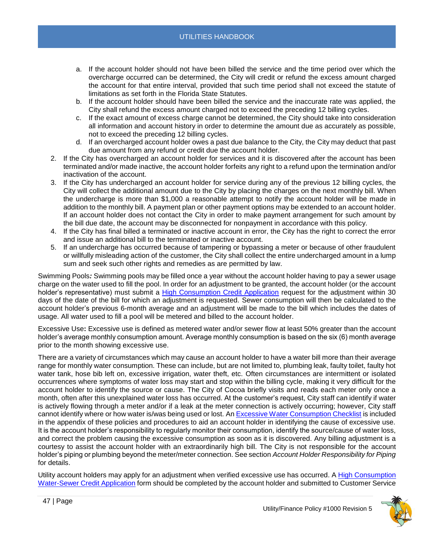- a. If the account holder should not have been billed the service and the time period over which the overcharge occurred can be determined, the City will credit or refund the excess amount charged the account for that entire interval, provided that such time period shall not exceed the statute of limitations as set forth in the Florida State Statutes.
- b. If the account holder should have been billed the service and the inaccurate rate was applied, the City shall refund the excess amount charged not to exceed the preceding 12 billing cycles.
- c. If the exact amount of excess charge cannot be determined, the City should take into consideration all information and account history in order to determine the amount due as accurately as possible, not to exceed the preceding 12 billing cycles.
- d. If an overcharged account holder owes a past due balance to the City, the City may deduct that past due amount from any refund or credit due the account holder.
- 2. If the City has overcharged an account holder for services and it is discovered after the account has been terminated and/or made inactive, the account holder forfeits any right to a refund upon the termination and/or inactivation of the account.
- 3. If the City has undercharged an account holder for service during any of the previous 12 billing cycles, the City will collect the additional amount due to the City by placing the charges on the next monthly bill. When the undercharge is more than \$1,000 a reasonable attempt to notify the account holder will be made in addition to the monthly bill. A payment plan or other payment options may be extended to an account holder. If an account holder does not contact the City in order to make payment arrangement for such amount by the bill due date, the account may be disconnected for nonpayment in accordance with this policy.
- 4. If the City has final billed a terminated or inactive account in error, the City has the right to correct the error and issue an additional bill to the terminated or inactive account.
- 5. If an undercharge has occurred because of tampering or bypassing a meter or because of other fraudulent or willfully misleading action of the customer, the City shall collect the entire undercharged amount in a lump sum and seek such other rights and remedies as are permitted by law.

<span id="page-46-0"></span>Swimming Pools*:* Swimming pools may be filled once a year without the account holder having to pay a sewer usage charge on the water used to fill the pool. In order for an adjustment to be granted, the account holder (or the account holder's representative) must submit a [High Consumption Credit Application](https://www.cocoafl.org/FormCenter/Customer-Service-8/High-Consumption-WaterSewer-Credit-Appli-54) request for the adjustment within 30 days of the date of the bill for which an adjustment is requested. Sewer consumption will then be calculated to the account holder's previous 6-month average and an adjustment will be made to the bill which includes the dates of usage. All water used to fill a pool will be metered and billed to the account holder.

<span id="page-46-1"></span>Excessive Use**:** Excessive use is defined as metered water and/or sewer flow at least 50% greater than the account holder's average monthly consumption amount. Average monthly consumption is based on the six (6) month average prior to the month showing excessive use.

There are a variety of circumstances which may cause an account holder to have a water bill more than their average range for monthly water consumption. These can include, but are not limited to, plumbing leak, faulty toilet, faulty hot water tank, hose bib left on, excessive irrigation, water theft, etc. Often circumstances are intermittent or isolated occurrences where symptoms of water loss may start and stop within the billing cycle, making it very difficult for the account holder to identify the source or cause. The City of Cocoa briefly visits and reads each meter only once a month, often after this unexplained water loss has occurred. At the customer's request, City staff can identify if water is actively flowing through a meter and/or if a leak at the meter connection is actively occurring; however, City staff cannot identify where or how water is/was being used or lost. An Excessive [Water Consumption Checklist](file://///chv-file03/dept$/City%20Manager/PR/ADA%20Accessibility%20Docs/TO%20DO%20-%20Make%20Accessible/a) is included in the appendix of these policies and procedures to aid an account holder in identifying the cause of excessive use. It is the account holder's responsibility to regularly monitor their consumption, identify the source/cause of water loss, and correct the problem causing the excessive consumption as soon as it is discovered. Any billing adjustment is a courtesy to assist the account holder with an extraordinarily high bill. The City is not responsible for the account holder's piping or plumbing beyond the meter/meter connection. See section *Account Holder Responsibility for Piping* for details.

Utility account holders may apply for an adjustment when verified excessive use has occurred. A High [Consumption](file://///chv-file03/dept$/City%20Manager/PR/ADA%20Accessibility%20Docs/TO%20DO%20-%20Make%20Accessible/a)  [Water-Sewer Credit Application](file://///chv-file03/dept$/City%20Manager/PR/ADA%20Accessibility%20Docs/TO%20DO%20-%20Make%20Accessible/a) form should be completed by the account holder and submitted to Customer Service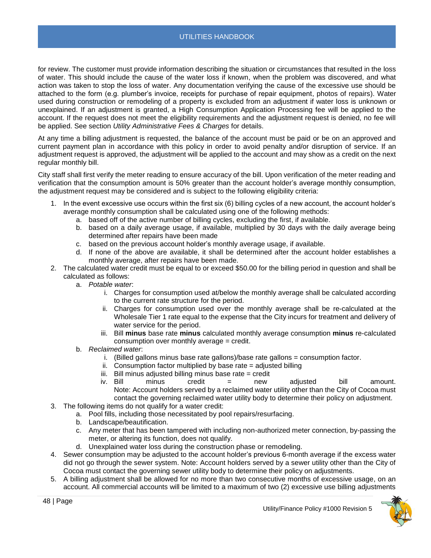for review. The customer must provide information describing the situation or circumstances that resulted in the loss of water. This should include the cause of the water loss if known, when the problem was discovered, and what action was taken to stop the loss of water. Any documentation verifying the cause of the excessive use should be attached to the form (e.g. plumber's invoice, receipts for purchase of repair equipment, photos of repairs). Water used during construction or remodeling of a property is excluded from an adjustment if water loss is unknown or unexplained. If an adjustment is granted, a High Consumption Application Processing fee will be applied to the account. If the request does not meet the eligibility requirements and the adjustment request is denied, no fee will be applied. See section *Utility Administrative Fees & Charges* for details.

At any time a billing adjustment is requested, the balance of the account must be paid or be on an approved and current payment plan in accordance with this policy in order to avoid penalty and/or disruption of service. If an adjustment request is approved, the adjustment will be applied to the account and may show as a credit on the next regular monthly bill.

City staff shall first verify the meter reading to ensure accuracy of the bill. Upon verification of the meter reading and verification that the consumption amount is 50% greater than the account holder's average monthly consumption, the adjustment request may be considered and is subject to the following eligibility criteria:

- 1. In the event excessive use occurs within the first six (6) billing cycles of a new account, the account holder's average monthly consumption shall be calculated using one of the following methods:
	- a. based off of the active number of billing cycles, excluding the first, if available.
	- b. based on a daily average usage, if available, multiplied by 30 days with the daily average being determined after repairs have been made
	- c. based on the previous account holder's monthly average usage, if available.
	- d. If none of the above are available, it shall be determined after the account holder establishes a monthly average, after repairs have been made.
- 2. The calculated water credit must be equal to or exceed \$50.00 for the billing period in question and shall be calculated as follows:
	- a. *Potable water*:
		- i. Charges for consumption used at/below the monthly average shall be calculated according to the current rate structure for the period.
		- ii. Charges for consumption used over the monthly average shall be re-calculated at the Wholesale Tier 1 rate equal to the expense that the City incurs for treatment and delivery of water service for the period.
		- iii. Bill **minus** base rate **minus** calculated monthly average consumption **minus** re-calculated consumption over monthly average = credit.
	- b. *Reclaimed water*:
		- i. (Billed gallons minus base rate gallons)/base rate gallons = consumption factor.
		- ii. Consumption factor multiplied by base rate  $=$  adjusted billing
		- $iii.$  Bill minus adjusted billing minus base rate  $=$  credit
		- iv. Bill minus credit = new adjusted bill amount. Note: Account holders served by a reclaimed water utility other than the City of Cocoa must contact the governing reclaimed water utility body to determine their policy on adjustment.
- 3. The following items do not qualify for a water credit:
	- a. Pool fills, including those necessitated by pool repairs/resurfacing.
		- b. Landscape/beautification.
		- c. Any meter that has been tampered with including non-authorized meter connection, by-passing the meter, or altering its function, does not qualify.
		- d. Unexplained water loss during the construction phase or remodeling.
- 4. Sewer consumption may be adjusted to the account holder's previous 6-month average if the excess water did not go through the sewer system. Note: Account holders served by a sewer utility other than the City of Cocoa must contact the governing sewer utility body to determine their policy on adjustments.
- 5. A billing adjustment shall be allowed for no more than two consecutive months of excessive usage, on an account. All commercial accounts will be limited to a maximum of two (2) excessive use billing adjustments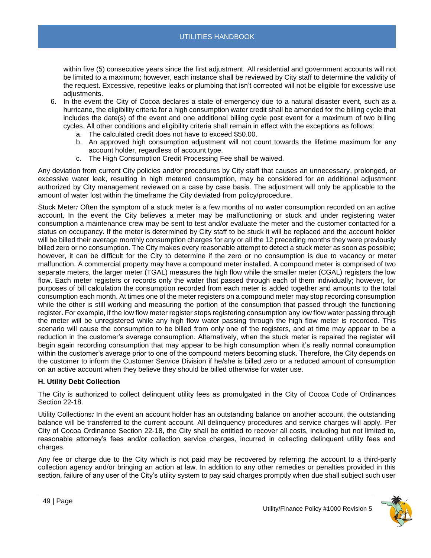within five (5) consecutive years since the first adjustment. All residential and government accounts will not be limited to a maximum; however, each instance shall be reviewed by City staff to determine the validity of the request. Excessive, repetitive leaks or plumbing that isn't corrected will not be eligible for excessive use adjustments.

- 6. In the event the City of Cocoa declares a state of emergency due to a natural disaster event, such as a hurricane, the eligibility criteria for a high consumption water credit shall be amended for the billing cycle that includes the date(s) of the event and one additional billing cycle post event for a maximum of two billing cycles. All other conditions and eligibility criteria shall remain in effect with the exceptions as follows:
	- a. The calculated credit does not have to exceed \$50.00.
	- b. An approved high consumption adjustment will not count towards the lifetime maximum for any account holder, regardless of account type.
	- c. The High Consumption Credit Processing Fee shall be waived.

Any deviation from current City policies and/or procedures by City staff that causes an unnecessary, prolonged, or excessive water leak, resulting in high metered consumption, may be considered for an additional adjustment authorized by City management reviewed on a case by case basis. The adjustment will only be applicable to the amount of water lost within the timeframe the City deviated from policy/procedure.

<span id="page-48-0"></span>Stuck Meter*:* Often the symptom of a stuck meter is a few months of no water consumption recorded on an active account. In the event the City believes a meter may be malfunctioning or stuck and under registering water consumption a maintenance crew may be sent to test and/or evaluate the meter and the customer contacted for a status on occupancy. If the meter is determined by City staff to be stuck it will be replaced and the account holder will be billed their average monthly consumption charges for any or all the 12 preceding months they were previously billed zero or no consumption. The City makes every reasonable attempt to detect a stuck meter as soon as possible; however, it can be difficult for the City to determine if the zero or no consumption is due to vacancy or meter malfunction. A commercial property may have a compound meter installed. A compound meter is comprised of two separate meters, the larger meter (TGAL) measures the high flow while the smaller meter (CGAL) registers the low flow. Each meter registers or records only the water that passed through each of them individually; however, for purposes of bill calculation the consumption recorded from each meter is added together and amounts to the total consumption each month. At times one of the meter registers on a compound meter may stop recording consumption while the other is still working and measuring the portion of the consumption that passed through the functioning register. For example, if the low flow meter register stops registering consumption any low flow water passing through the meter will be unregistered while any high flow water passing through the high flow meter is recorded. This scenario will cause the consumption to be billed from only one of the registers, and at time may appear to be a reduction in the customer's average consumption. Alternatively, when the stuck meter is repaired the register will begin again recording consumption that may appear to be high consumption when it's really normal consumption within the customer's average prior to one of the compound meters becoming stuck. Therefore, the City depends on the customer to inform the Customer Service Division if he/she is billed zero or a reduced amount of consumption on an active account when they believe they should be billed otherwise for water use.

## <span id="page-48-1"></span>**H. Utility Debt Collection**

The City is authorized to collect delinquent utility fees as promulgated in the City of Cocoa Code of Ordinances Section 22-18.

<span id="page-48-2"></span>Utility Collections*:* In the event an account holder has an outstanding balance on another account, the outstanding balance will be transferred to the current account. All delinquency procedures and service charges will apply. Per City of Cocoa Ordinance Section 22-18, the City shall be entitled to recover all costs, including but not limited to, reasonable attorney's fees and/or collection service charges, incurred in collecting delinquent utility fees and charges.

Any fee or charge due to the City which is not paid may be recovered by referring the account to a third-party collection agency and/or bringing an action at law. In addition to any other remedies or penalties provided in this section, failure of any user of the City's utility system to pay said charges promptly when due shall subject such user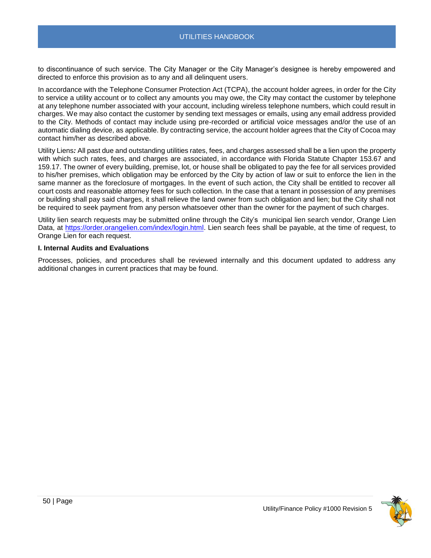to discontinuance of such service. The City Manager or the City Manager's designee is hereby empowered and directed to enforce this provision as to any and all delinquent users.

In accordance with the Telephone Consumer Protection Act (TCPA), the account holder agrees, in order for the City to service a utility account or to collect any amounts you may owe, the City may contact the customer by telephone at any telephone number associated with your account, including wireless telephone numbers, which could result in charges. We may also contact the customer by sending text messages or emails, using any email address provided to the City. Methods of contact may include using pre-recorded or artificial voice messages and/or the use of an automatic dialing device, as applicable. By contracting service, the account holder agrees that the City of Cocoa may contact him/her as described above.

<span id="page-49-0"></span>Utility Liens*:* All past due and outstanding utilities rates, fees, and charges assessed shall be a lien upon the property with which such rates, fees, and charges are associated, in accordance with Florida Statute Chapter 153.67 and 159.17. The owner of every building, premise, lot, or house shall be obligated to pay the fee for all services provided to his/her premises, which obligation may be enforced by the City by action of law or suit to enforce the lien in the same manner as the foreclosure of mortgages. In the event of such action, the City shall be entitled to recover all court costs and reasonable attorney fees for such collection. In the case that a tenant in possession of any premises or building shall pay said charges, it shall relieve the land owner from such obligation and lien; but the City shall not be required to seek payment from any person whatsoever other than the owner for the payment of such charges.

Utility lien search requests may be submitted online through the City's municipal lien search vendor, Orange Lien Data, at [https://order.orangelien.com/index/login.html.](https://order.orangelien.com/index/login.html) Lien search fees shall be payable, at the time of request, to Orange Lien for each request.

## <span id="page-49-1"></span>**I. Internal Audits and Evaluations**

Processes, policies, and procedures shall be reviewed internally and this document updated to address any additional changes in current practices that may be found.